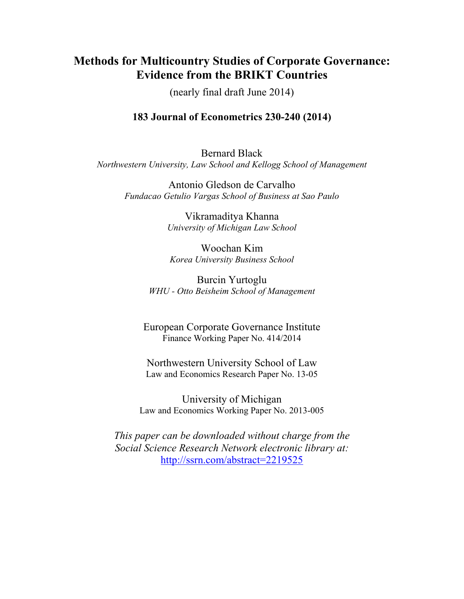# **Methods for Multicountry Studies of Corporate Governance: Evidence from the BRIKT Countries**

(nearly final draft June 2014)

## **183 Journal of Econometrics 230-240 (2014)**

Bernard Black *Northwestern University, Law School and Kellogg School of Management* 

> Antonio Gledson de Carvalho *Fundacao Getulio Vargas School of Business at Sao Paulo*

> > Vikramaditya Khanna *University of Michigan Law School*

Woochan Kim *Korea University Business School*

Burcin Yurtoglu *WHU - Otto Beisheim School of Management*

European Corporate Governance Institute Finance Working Paper No. 414/2014

Northwestern University School of Law Law and Economics Research Paper No. 13-05

University of Michigan Law and Economics Working Paper No. 2013-005

*This paper can be downloaded without charge from the Social Science Research Network electronic library at:* http://ssrn.com/abstract=2219525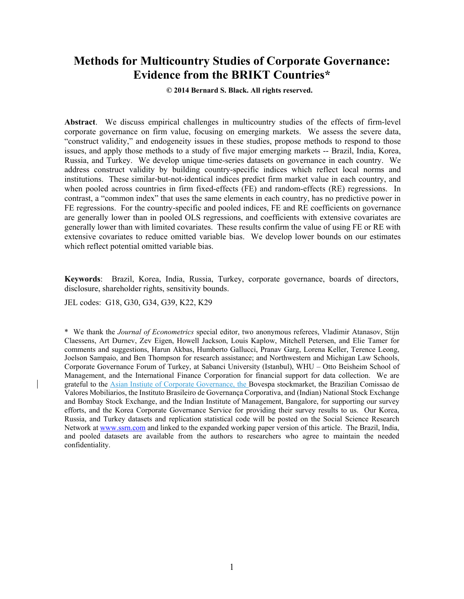## **Methods for Multicountry Studies of Corporate Governance: Evidence from the BRIKT Countries\***

**© 2014 Bernard S. Black. All rights reserved.** 

**Abstract**. We discuss empirical challenges in multicountry studies of the effects of firm-level corporate governance on firm value, focusing on emerging markets. We assess the severe data, "construct validity," and endogeneity issues in these studies, propose methods to respond to those issues, and apply those methods to a study of five major emerging markets -- Brazil, India, Korea, Russia, and Turkey. We develop unique time-series datasets on governance in each country. We address construct validity by building country-specific indices which reflect local norms and institutions. These similar-but-not-identical indices predict firm market value in each country, and when pooled across countries in firm fixed-effects (FE) and random-effects (RE) regressions. In contrast, a "common index" that uses the same elements in each country, has no predictive power in FE regressions. For the country-specific and pooled indices, FE and RE coefficients on governance are generally lower than in pooled OLS regressions, and coefficients with extensive covariates are generally lower than with limited covariates. These results confirm the value of using FE or RE with extensive covariates to reduce omitted variable bias. We develop lower bounds on our estimates which reflect potential omitted variable bias.

**Keywords**: Brazil, Korea, India, Russia, Turkey, corporate governance, boards of directors, disclosure, shareholder rights, sensitivity bounds.

JEL codes: G18, G30, G34, G39, K22, K29

\* We thank the *Journal of Econometrics* special editor, two anonymous referees, Vladimir Atanasov, Stijn Claessens, Art Durnev, Zev Eigen, Howell Jackson, Louis Kaplow, Mitchell Petersen, and Elie Tamer for comments and suggestions, Harun Akbas, Humberto Gallucci, Pranav Garg, Lorena Keller, Terence Leong, Joelson Sampaio, and Ben Thompson for research assistance; and Northwestern and Michigan Law Schools, Corporate Governance Forum of Turkey, at Sabanci University (Istanbul), WHU – Otto Beisheim School of Management, and the International Finance Corporation for financial support for data collection. We are grateful to the Asian Instiute of Corporate Governance, the Bovespa stockmarket, the Brazilian Comissao de Valores Mobiliarios, the Instituto Brasileiro de Governança Corporativa, and (Indian) National Stock Exchange and Bombay Stock Exchange, and the Indian Institute of Management, Bangalore, for supporting our survey efforts, and the Korea Corporate Governance Service for providing their survey results to us. Our Korea, Russia, and Turkey datasets and replication statistical code will be posted on the Social Science Research Network at www.ssrn.com and linked to the expanded working paper version of this article. The Brazil, India, and pooled datasets are available from the authors to researchers who agree to maintain the needed confidentiality.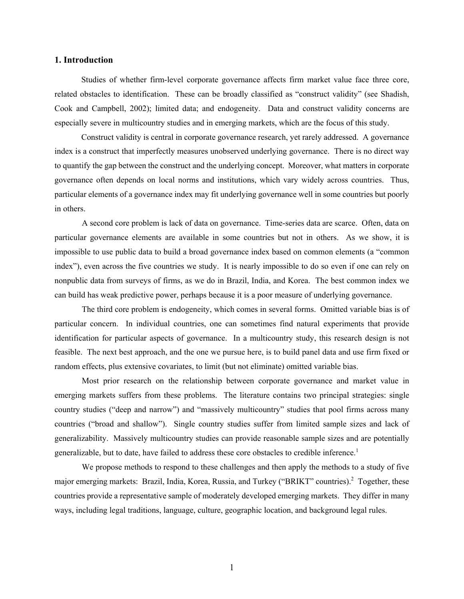#### **1. Introduction**

Studies of whether firm-level corporate governance affects firm market value face three core, related obstacles to identification. These can be broadly classified as "construct validity" (see Shadish, Cook and Campbell, 2002); limited data; and endogeneity. Data and construct validity concerns are especially severe in multicountry studies and in emerging markets, which are the focus of this study.

Construct validity is central in corporate governance research, yet rarely addressed. A governance index is a construct that imperfectly measures unobserved underlying governance. There is no direct way to quantify the gap between the construct and the underlying concept. Moreover, what matters in corporate governance often depends on local norms and institutions, which vary widely across countries. Thus, particular elements of a governance index may fit underlying governance well in some countries but poorly in others.

A second core problem is lack of data on governance. Time-series data are scarce. Often, data on particular governance elements are available in some countries but not in others. As we show, it is impossible to use public data to build a broad governance index based on common elements (a "common index"), even across the five countries we study. It is nearly impossible to do so even if one can rely on nonpublic data from surveys of firms, as we do in Brazil, India, and Korea. The best common index we can build has weak predictive power, perhaps because it is a poor measure of underlying governance.

The third core problem is endogeneity, which comes in several forms. Omitted variable bias is of particular concern. In individual countries, one can sometimes find natural experiments that provide identification for particular aspects of governance. In a multicountry study, this research design is not feasible. The next best approach, and the one we pursue here, is to build panel data and use firm fixed or random effects, plus extensive covariates, to limit (but not eliminate) omitted variable bias.

Most prior research on the relationship between corporate governance and market value in emerging markets suffers from these problems. The literature contains two principal strategies: single country studies ("deep and narrow") and "massively multicountry" studies that pool firms across many countries ("broad and shallow"). Single country studies suffer from limited sample sizes and lack of generalizability. Massively multicountry studies can provide reasonable sample sizes and are potentially generalizable, but to date, have failed to address these core obstacles to credible inference.1

We propose methods to respond to these challenges and then apply the methods to a study of five major emerging markets: Brazil, India, Korea, Russia, and Turkey ("BRIKT" countries).<sup>2</sup> Together, these countries provide a representative sample of moderately developed emerging markets. They differ in many ways, including legal traditions, language, culture, geographic location, and background legal rules.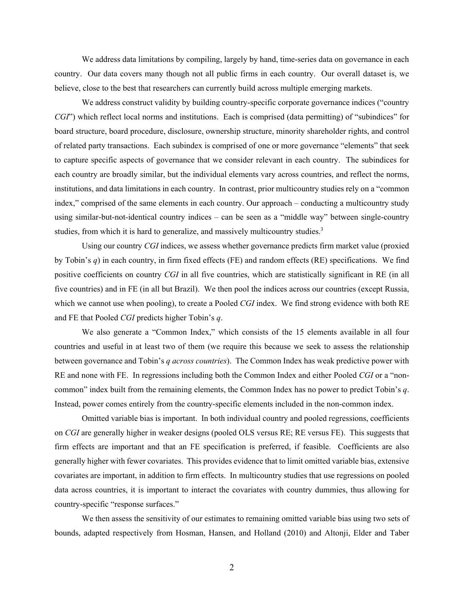We address data limitations by compiling, largely by hand, time-series data on governance in each country. Our data covers many though not all public firms in each country. Our overall dataset is, we believe, close to the best that researchers can currently build across multiple emerging markets.

We address construct validity by building country-specific corporate governance indices ("country *CGI*") which reflect local norms and institutions. Each is comprised (data permitting) of "subindices" for board structure, board procedure, disclosure, ownership structure, minority shareholder rights, and control of related party transactions. Each subindex is comprised of one or more governance "elements" that seek to capture specific aspects of governance that we consider relevant in each country. The subindices for each country are broadly similar, but the individual elements vary across countries, and reflect the norms, institutions, and data limitations in each country. In contrast, prior multicountry studies rely on a "common index," comprised of the same elements in each country. Our approach – conducting a multicountry study using similar-but-not-identical country indices – can be seen as a "middle way" between single-country studies, from which it is hard to generalize, and massively multicountry studies.<sup>3</sup>

Using our country *CGI* indices, we assess whether governance predicts firm market value (proxied by Tobin's *q*) in each country, in firm fixed effects (FE) and random effects (RE) specifications. We find positive coefficients on country *CGI* in all five countries, which are statistically significant in RE (in all five countries) and in FE (in all but Brazil). We then pool the indices across our countries (except Russia, which we cannot use when pooling), to create a Pooled *CGI* index. We find strong evidence with both RE and FE that Pooled *CGI* predicts higher Tobin's *q*.

We also generate a "Common Index," which consists of the 15 elements available in all four countries and useful in at least two of them (we require this because we seek to assess the relationship between governance and Tobin's *q across countries*). The Common Index has weak predictive power with RE and none with FE. In regressions including both the Common Index and either Pooled *CGI* or a "noncommon" index built from the remaining elements, the Common Index has no power to predict Tobin's *q*. Instead, power comes entirely from the country-specific elements included in the non-common index.

Omitted variable bias is important. In both individual country and pooled regressions, coefficients on *CGI* are generally higher in weaker designs (pooled OLS versus RE; RE versus FE). This suggests that firm effects are important and that an FE specification is preferred, if feasible. Coefficients are also generally higher with fewer covariates. This provides evidence that to limit omitted variable bias, extensive covariates are important, in addition to firm effects. In multicountry studies that use regressions on pooled data across countries, it is important to interact the covariates with country dummies, thus allowing for country-specific "response surfaces."

We then assess the sensitivity of our estimates to remaining omitted variable bias using two sets of bounds, adapted respectively from Hosman, Hansen, and Holland (2010) and Altonji, Elder and Taber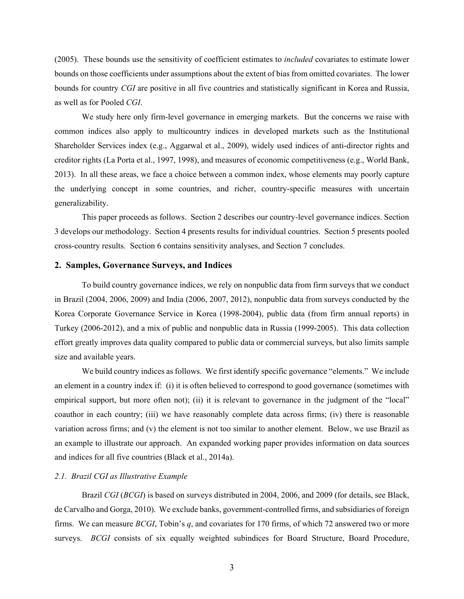(2005). These bounds use the sensitivity of coefficient estimates to *included* covariates to estimate lower bounds on those coefficients under assumptions about the extent of bias from omitted covariates. The lower bounds for country *CGI* are positive in all five countries and statistically significant in Korea and Russia, as well as for Pooled *CGI*.

We study here only firm-level governance in emerging markets. But the concerns we raise with common indices also apply to multicountry indices in developed markets such as the Institutional Shareholder Services index (e.g., Aggarwal et al., 2009), widely used indices of anti-director rights and creditor rights (La Porta et al., 1997, 1998), and measures of economic competitiveness (e.g., World Bank, 2013). In all these areas, we face a choice between a common index, whose elements may poorly capture the underlying concept in some countries, and richer, country-specific measures with uncertain generalizability.

This paper proceeds as follows. Section 2 describes our country-level governance indices. Section 3 develops our methodology. Section 4 presents results for individual countries. Section 5 presents pooled cross-country results. Section 6 contains sensitivity analyses, and Section 7 concludes.

#### **2. Samples, Governance Surveys, and Indices**

To build country governance indices, we rely on nonpublic data from firm surveys that we conduct in Brazil (2004, 2006, 2009) and India (2006, 2007, 2012), nonpublic data from surveys conducted by the Korea Corporate Governance Service in Korea (1998-2004), public data (from firm annual reports) in Turkey (2006-2012), and a mix of public and nonpublic data in Russia (1999-2005). This data collection effort greatly improves data quality compared to public data or commercial surveys, but also limits sample size and available years.

We build country indices as follows. We first identify specific governance "elements." We include an element in a country index if: (i) it is often believed to correspond to good governance (sometimes with empirical support, but more often not); (ii) it is relevant to governance in the judgment of the "local" coauthor in each country; (iii) we have reasonably complete data across firms; (iv) there is reasonable variation across firms; and (v) the element is not too similar to another element. Below, we use Brazil as an example to illustrate our approach. An expanded working paper provides information on data sources and indices for all five countries (Black et al., 2014a).

#### *2.1. Brazil CGI as Illustrative Example*

Brazil *CGI* (*BCGI*) is based on surveys distributed in 2004, 2006, and 2009 (for details, see Black, de Carvalho and Gorga, 2010). We exclude banks, government-controlled firms, and subsidiaries of foreign firms. We can measure *BCGI*, Tobin's *q*, and covariates for 170 firms, of which 72 answered two or more surveys. *BCGI* consists of six equally weighted subindices for Board Structure, Board Procedure,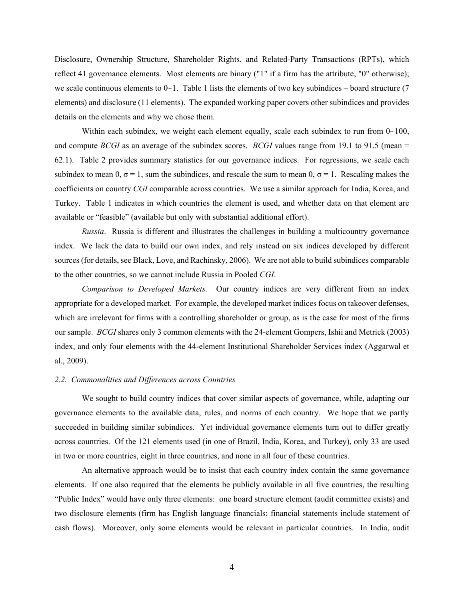Disclosure, Ownership Structure, Shareholder Rights, and Related-Party Transactions (RPTs), which reflect 41 governance elements. Most elements are binary ("1" if a firm has the attribute, "0" otherwise); we scale continuous elements to  $0\nu$ . Table 1 lists the elements of two key subindices – board structure (7) elements) and disclosure (11 elements). The expanded working paper covers other subindices and provides details on the elements and why we chose them.

Within each subindex, we weight each element equally, scale each subindex to run from  $0\nu$ 100, and compute *BCGI* as an average of the subindex scores. *BCGI* values range from 19.1 to 91.5 (mean = 62.1).Table 2 provides summary statistics for our governance indices. For regressions, we scale each subindex to mean 0,  $\sigma = 1$ , sum the subindices, and rescale the sum to mean 0,  $\sigma = 1$ . Rescaling makes the coefficients on country *CGI* comparable across countries. We use a similar approach for India, Korea, and Turkey. Table 1 indicates in which countries the element is used, and whether data on that element are available or "feasible" (available but only with substantial additional effort).

*Russia*. Russia is different and illustrates the challenges in building a multicountry governance index. We lack the data to build our own index, and rely instead on six indices developed by different sources (for details, see Black, Love, and Rachinsky, 2006). We are not able to build subindices comparable to the other countries, so we cannot include Russia in Pooled *CGI*.

*Comparison to Developed Markets.* Our country indices are very different from an index appropriate for a developed market. For example, the developed market indices focus on takeover defenses, which are irrelevant for firms with a controlling shareholder or group, as is the case for most of the firms our sample. *BCGI* shares only 3 common elements with the 24-element Gompers, Ishii and Metrick (2003) index, and only four elements with the 44-element Institutional Shareholder Services index (Aggarwal et al., 2009).

#### *2.2. Commonalities and Differences across Countries*

We sought to build country indices that cover similar aspects of governance, while, adapting our governance elements to the available data, rules, and norms of each country. We hope that we partly succeeded in building similar subindices. Yet individual governance elements turn out to differ greatly across countries. Of the 121 elements used (in one of Brazil, India, Korea, and Turkey), only 33 are used in two or more countries, eight in three countries, and none in all four of these countries.

An alternative approach would be to insist that each country index contain the same governance elements. If one also required that the elements be publicly available in all five countries, the resulting "Public Index" would have only three elements: one board structure element (audit committee exists) and two disclosure elements (firm has English language financials; financial statements include statement of cash flows). Moreover, only some elements would be relevant in particular countries. In India, audit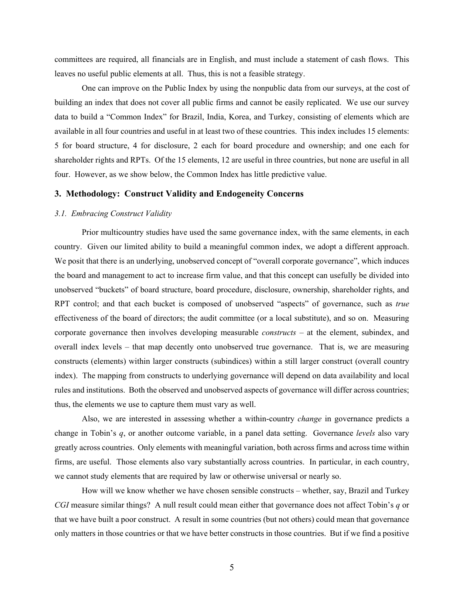committees are required, all financials are in English, and must include a statement of cash flows. This leaves no useful public elements at all. Thus, this is not a feasible strategy.

One can improve on the Public Index by using the nonpublic data from our surveys, at the cost of building an index that does not cover all public firms and cannot be easily replicated. We use our survey data to build a "Common Index" for Brazil, India, Korea, and Turkey, consisting of elements which are available in all four countries and useful in at least two of these countries. This index includes 15 elements: 5 for board structure, 4 for disclosure, 2 each for board procedure and ownership; and one each for shareholder rights and RPTs. Of the 15 elements, 12 are useful in three countries, but none are useful in all four. However, as we show below, the Common Index has little predictive value.

#### **3. Methodology: Construct Validity and Endogeneity Concerns**

#### *3.1. Embracing Construct Validity*

Prior multicountry studies have used the same governance index, with the same elements, in each country. Given our limited ability to build a meaningful common index, we adopt a different approach. We posit that there is an underlying, unobserved concept of "overall corporate governance", which induces the board and management to act to increase firm value, and that this concept can usefully be divided into unobserved "buckets" of board structure, board procedure, disclosure, ownership, shareholder rights, and RPT control; and that each bucket is composed of unobserved "aspects" of governance, such as *true* effectiveness of the board of directors; the audit committee (or a local substitute), and so on. Measuring corporate governance then involves developing measurable *constructs* – at the element, subindex, and overall index levels – that map decently onto unobserved true governance. That is, we are measuring constructs (elements) within larger constructs (subindices) within a still larger construct (overall country index). The mapping from constructs to underlying governance will depend on data availability and local rules and institutions. Both the observed and unobserved aspects of governance will differ across countries; thus, the elements we use to capture them must vary as well.

Also, we are interested in assessing whether a within-country *change* in governance predicts a change in Tobin's *q*, or another outcome variable, in a panel data setting. Governance *levels* also vary greatly across countries. Only elements with meaningful variation, both across firms and across time within firms, are useful. Those elements also vary substantially across countries. In particular, in each country, we cannot study elements that are required by law or otherwise universal or nearly so.

How will we know whether we have chosen sensible constructs – whether, say, Brazil and Turkey *CGI* measure similar things? A null result could mean either that governance does not affect Tobin's *q* or that we have built a poor construct. A result in some countries (but not others) could mean that governance only matters in those countries or that we have better constructs in those countries. But if we find a positive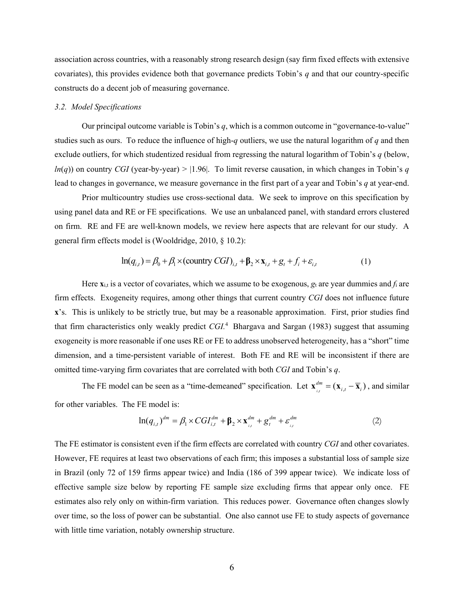association across countries, with a reasonably strong research design (say firm fixed effects with extensive covariates), this provides evidence both that governance predicts Tobin's *q* and that our country-specific constructs do a decent job of measuring governance.

#### *3.2. Model Specifications*

Our principal outcome variable is Tobin's *q*, which is a common outcome in "governance-to-value" studies such as ours. To reduce the influence of high-*q* outliers, we use the natural logarithm of *q* and then exclude outliers, for which studentized residual from regressing the natural logarithm of Tobin's *q* (below, *ln*(*q*)) on country *CGI* (year-by-year) *>* |1.96|. To limit reverse causation, in which changes in Tobin's *q* lead to changes in governance, we measure governance in the first part of a year and Tobin's *q* at year-end.

Prior multicountry studies use cross-sectional data. We seek to improve on this specification by using panel data and RE or FE specifications. We use an unbalanced panel, with standard errors clustered on firm. RE and FE are well-known models, we review here aspects that are relevant for our study. A general firm effects model is (Wooldridge, 2010, § 10.2):

$$
\ln(q_{i,t}) = \beta_0 + \beta_1 \times (\text{country } CGI)_{i,t} + \beta_2 \times \mathbf{x}_{i,t} + g_t + f_i + \varepsilon_{i,t}
$$
 (1)

Here  $\mathbf{x}_{i,t}$  is a vector of covariates, which we assume to be exogenous,  $g_t$  are year dummies and  $f_i$  are firm effects. Exogeneity requires, among other things that current country *CGI* does not influence future **x**'s. This is unlikely to be strictly true, but may be a reasonable approximation. First, prior studies find that firm characteristics only weakly predict *CGI*.<sup>4</sup> Bhargava and Sargan (1983) suggest that assuming exogeneity is more reasonable if one uses RE or FE to address unobserved heterogeneity, has a "short" time dimension, and a time-persistent variable of interest. Both FE and RE will be inconsistent if there are omitted time-varying firm covariates that are correlated with both *CGI* and Tobin's *q*.

The FE model can be seen as a "time-demeaned" specification. Let  $\mathbf{x}_{i,t}^{dm} = (\mathbf{x}_{i,t} - \overline{\mathbf{x}}_i)$ , and similar for other variables. The FE model is:

$$
\ln(q_{i,t})^{dm} = \beta_1 \times CGI_{i,t}^{dm} + \beta_2 \times \mathbf{x}_{i,t}^{dm} + g_t^{dm} + \varepsilon_{i,t}^{dm}
$$
 (2)

The FE estimator is consistent even if the firm effects are correlated with country *CGI* and other covariates. However, FE requires at least two observations of each firm; this imposes a substantial loss of sample size in Brazil (only 72 of 159 firms appear twice) and India (186 of 399 appear twice). We indicate loss of effective sample size below by reporting FE sample size excluding firms that appear only once. FE estimates also rely only on within-firm variation. This reduces power. Governance often changes slowly over time, so the loss of power can be substantial. One also cannot use FE to study aspects of governance with little time variation, notably ownership structure.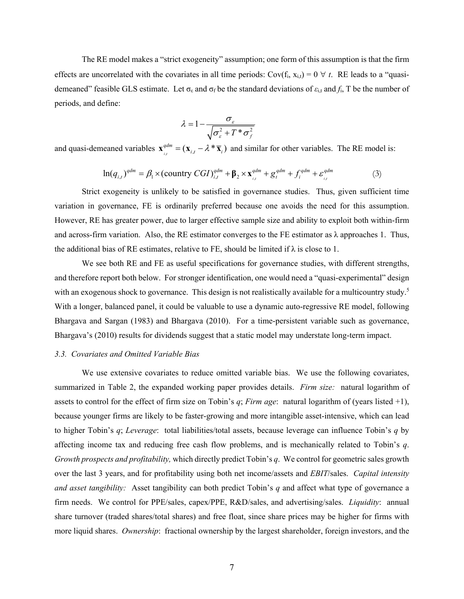The RE model makes a "strict exogeneity" assumption; one form of this assumption is that the firm effects are uncorrelated with the covariates in all time periods:  $Cov(f_i, x_{i,t}) = 0 \ \forall t$ . RE leads to a "quasidemeaned" feasible GLS estimate. Let  $\sigma_{\varepsilon}$  and  $\sigma_{\rm f}$  be the standard deviations of  $\varepsilon_{\rm i,t}$  and  $f_{\rm i}$ . T be the number of periods, and define:

$$
\lambda = 1 - \frac{\sigma_{\varepsilon}}{\sqrt{\sigma_{\varepsilon}^2 + T^* \sigma_{f}^2}}
$$

and quasi-demeaned variables  $\mathbf{x}_{i,t}^{qdm} = (\mathbf{x}_{i,t} - \lambda^* \overline{\mathbf{x}}_i)$  and similar for other variables. The RE model is:

$$
\ln(q_{i,t})^{qdm} = \beta_1 \times (\text{country } CGI)_{i,t}^{qdm} + \beta_2 \times \mathbf{x}_{i,t}^{qdm} + g_t^{qdm} + f_i^{qdm} + \varepsilon_{i,t}^{qdm}
$$
(3)

Strict exogeneity is unlikely to be satisfied in governance studies. Thus, given sufficient time variation in governance, FE is ordinarily preferred because one avoids the need for this assumption. However, RE has greater power, due to larger effective sample size and ability to exploit both within-firm and across-firm variation. Also, the RE estimator converges to the FE estimator as  $\lambda$  approaches 1. Thus, the additional bias of RE estimates, relative to FE, should be limited if  $\lambda$  is close to 1.

We see both RE and FE as useful specifications for governance studies, with different strengths, and therefore report both below. For stronger identification, one would need a "quasi-experimental" design with an exogenous shock to governance. This design is not realistically available for a multicountry study.<sup>5</sup> With a longer, balanced panel, it could be valuable to use a dynamic auto-regressive RE model, following Bhargava and Sargan (1983) and Bhargava (2010). For a time-persistent variable such as governance, Bhargava's (2010) results for dividends suggest that a static model may understate long-term impact.

#### *3.3. Covariates and Omitted Variable Bias*

We use extensive covariates to reduce omitted variable bias. We use the following covariates, summarized in Table 2, the expanded working paper provides details. *Firm size:* natural logarithm of assets to control for the effect of firm size on Tobin's  $q$ ; *Firm age*: natural logarithm of (years listed +1), because younger firms are likely to be faster-growing and more intangible asset-intensive, which can lead to higher Tobin's *q*; *Leverage*: total liabilities/total assets, because leverage can influence Tobin's *q* by affecting income tax and reducing free cash flow problems, and is mechanically related to Tobin's *q*. *Growth prospects and profitability,* which directly predict Tobin's *q*. We control for geometric sales growth over the last 3 years, and for profitability using both net income/assets and *EBIT*/sales. *Capital intensity and asset tangibility:* Asset tangibility can both predict Tobin's *q* and affect what type of governance a firm needs. We control for PPE/sales, capex/PPE, R&D/sales, and advertising/sales. *Liquidity*: annual share turnover (traded shares/total shares) and free float, since share prices may be higher for firms with more liquid shares. *Ownership*: fractional ownership by the largest shareholder, foreign investors, and the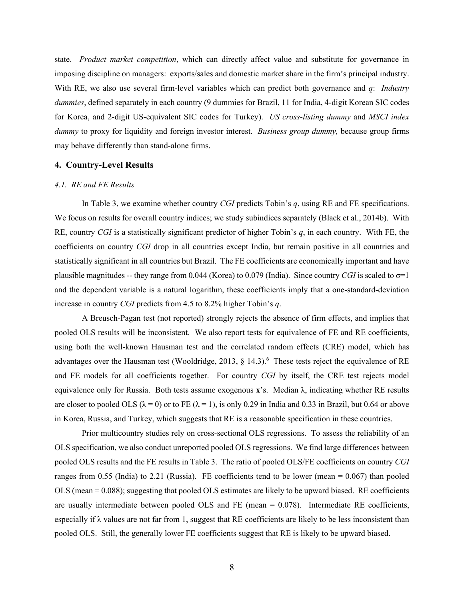state. *Product market competition*, which can directly affect value and substitute for governance in imposing discipline on managers: exports/sales and domestic market share in the firm's principal industry. With RE, we also use several firm-level variables which can predict both governance and *q*: *Industry dummies*, defined separately in each country (9 dummies for Brazil, 11 for India, 4-digit Korean SIC codes for Korea, and 2-digit US-equivalent SIC codes for Turkey). *US cross-listing dummy* and *MSCI index dummy* to proxy for liquidity and foreign investor interest. *Business group dummy,* because group firms may behave differently than stand-alone firms.

#### **4. Country-Level Results**

#### *4.1. RE and FE Results*

In Table 3, we examine whether country *CGI* predicts Tobin's *q*, using RE and FE specifications. We focus on results for overall country indices; we study subindices separately (Black et al., 2014b). With RE, country *CGI* is a statistically significant predictor of higher Tobin's *q*, in each country. With FE, the coefficients on country *CGI* drop in all countries except India, but remain positive in all countries and statistically significant in all countries but Brazil. The FE coefficients are economically important and have plausible magnitudes -- they range from 0.044 (Korea) to 0.079 (India). Since country *CGI* is scaled to  $\sigma$ =1 and the dependent variable is a natural logarithm, these coefficients imply that a one-standard-deviation increase in country *CGI* predicts from 4.5 to 8.2% higher Tobin's *q*.

A Breusch-Pagan test (not reported) strongly rejects the absence of firm effects, and implies that pooled OLS results will be inconsistent. We also report tests for equivalence of FE and RE coefficients, using both the well-known Hausman test and the correlated random effects (CRE) model, which has advantages over the Hausman test (Wooldridge, 2013,  $\S$  14.3).<sup>6</sup> These tests reject the equivalence of RE and FE models for all coefficients together. For country *CGI* by itself, the CRE test rejects model equivalence only for Russia. Both tests assume exogenous **x**'s. Median λ, indicating whether RE results are closer to pooled OLS ( $\lambda = 0$ ) or to FE ( $\lambda = 1$ ), is only 0.29 in India and 0.33 in Brazil, but 0.64 or above in Korea, Russia, and Turkey, which suggests that RE is a reasonable specification in these countries.

Prior multicountry studies rely on cross-sectional OLS regressions. To assess the reliability of an OLS specification, we also conduct unreported pooled OLS regressions. We find large differences between pooled OLS results and the FE results in Table 3. The ratio of pooled OLS/FE coefficients on country *CGI* ranges from 0.55 (India) to 2.21 (Russia). FE coefficients tend to be lower (mean = 0.067) than pooled OLS (mean = 0.088); suggesting that pooled OLS estimates are likely to be upward biased. RE coefficients are usually intermediate between pooled OLS and FE (mean  $= 0.078$ ). Intermediate RE coefficients, especially if  $\lambda$  values are not far from 1, suggest that RE coefficients are likely to be less inconsistent than pooled OLS. Still, the generally lower FE coefficients suggest that RE is likely to be upward biased.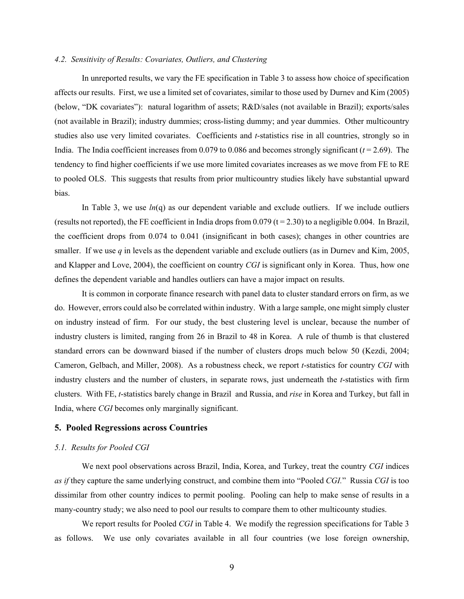#### *4.2. Sensitivity of Results: Covariates, Outliers, and Clustering*

In unreported results, we vary the FE specification in Table 3 to assess how choice of specification affects our results. First, we use a limited set of covariates, similar to those used by Durnev and Kim (2005) (below, "DK covariates"): natural logarithm of assets; R&D/sales (not available in Brazil); exports/sales (not available in Brazil); industry dummies; cross-listing dummy; and year dummies. Other multicountry studies also use very limited covariates. Coefficients and *t*-statistics rise in all countries, strongly so in India. The India coefficient increases from  $0.079$  to  $0.086$  and becomes strongly significant ( $t = 2.69$ ). The tendency to find higher coefficients if we use more limited covariates increases as we move from FE to RE to pooled OLS. This suggests that results from prior multicountry studies likely have substantial upward bias.

In Table 3, we use  $ln(q)$  as our dependent variable and exclude outliers. If we include outliers (results not reported), the FE coefficient in India drops from  $0.079$  ( $t = 2.30$ ) to a negligible 0.004. In Brazil, the coefficient drops from 0.074 to 0.041 (insignificant in both cases); changes in other countries are smaller. If we use *q* in levels as the dependent variable and exclude outliers (as in Durnev and Kim, 2005, and Klapper and Love, 2004), the coefficient on country *CGI* is significant only in Korea. Thus, how one defines the dependent variable and handles outliers can have a major impact on results.

It is common in corporate finance research with panel data to cluster standard errors on firm, as we do. However, errors could also be correlated within industry. With a large sample, one might simply cluster on industry instead of firm. For our study, the best clustering level is unclear, because the number of industry clusters is limited, ranging from 26 in Brazil to 48 in Korea. A rule of thumb is that clustered standard errors can be downward biased if the number of clusters drops much below 50 (Kezdi, 2004; Cameron, Gelbach, and Miller, 2008). As a robustness check, we report *t*-statistics for country *CGI* with industry clusters and the number of clusters, in separate rows, just underneath the *t*-statistics with firm clusters. With FE, *t*-statistics barely change in Brazil and Russia, and *rise* in Korea and Turkey, but fall in India, where *CGI* becomes only marginally significant.

#### **5. Pooled Regressions across Countries**

#### *5.1. Results for Pooled CGI*

We next pool observations across Brazil, India, Korea, and Turkey, treat the country *CGI* indices *as if* they capture the same underlying construct, and combine them into "Pooled *CGI.*" Russia *CGI* is too dissimilar from other country indices to permit pooling. Pooling can help to make sense of results in a many-country study; we also need to pool our results to compare them to other multicounty studies.

We report results for Pooled *CGI* in Table 4. We modify the regression specifications for Table 3 as follows. We use only covariates available in all four countries (we lose foreign ownership,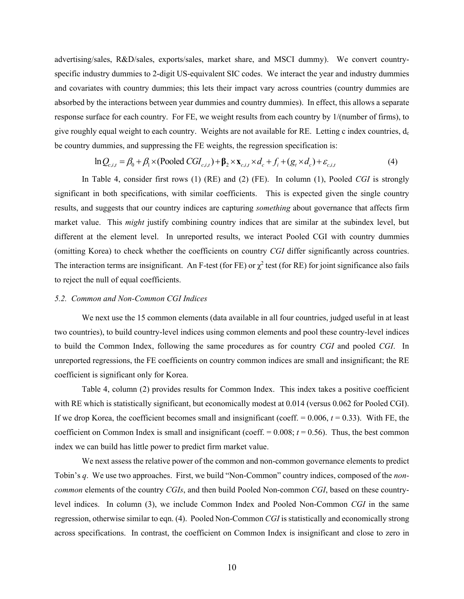advertising/sales, R&D/sales, exports/sales, market share, and MSCI dummy). We convert countryspecific industry dummies to 2-digit US-equivalent SIC codes. We interact the year and industry dummies and covariates with country dummies; this lets their impact vary across countries (country dummies are absorbed by the interactions between year dummies and country dummies). In effect, this allows a separate response surface for each country. For FE, we weight results from each country by 1/(number of firms), to give roughly equal weight to each country. Weights are not available for RE. Letting c index countries,  $d_c$ be country dummies, and suppressing the FE weights, the regression specification is:

$$
\ln Q_{c,i,t} = \beta_0 + \beta_1 \times (\text{Pooled } CGI_{c,i,t}) + \beta_2 \times \mathbf{x}_{c,i,t} \times d_c + f_i + (g_t \times d_c) + \varepsilon_{c,i,t}
$$
(4)

In Table 4, consider first rows (1) (RE) and (2) (FE). In column (1), Pooled *CGI* is strongly significant in both specifications, with similar coefficients. This is expected given the single country results, and suggests that our country indices are capturing *something* about governance that affects firm market value. This *might* justify combining country indices that are similar at the subindex level, but different at the element level. In unreported results, we interact Pooled CGI with country dummies (omitting Korea) to check whether the coefficients on country *CGI* differ significantly across countries. The interaction terms are insignificant. An F-test (for FE) or  $\chi^2$  test (for RE) for joint significance also fails to reject the null of equal coefficients.

#### *5.2. Common and Non-Common CGI Indices*

We next use the 15 common elements (data available in all four countries, judged useful in at least two countries), to build country-level indices using common elements and pool these country-level indices to build the Common Index, following the same procedures as for country *CGI* and pooled *CGI*. In unreported regressions, the FE coefficients on country common indices are small and insignificant; the RE coefficient is significant only for Korea.

Table 4, column (2) provides results for Common Index. This index takes a positive coefficient with RE which is statistically significant, but economically modest at 0.014 (versus 0.062 for Pooled CGI). If we drop Korea, the coefficient becomes small and insignificant (coeff.  $= 0.006$ ,  $t = 0.33$ ). With FE, the coefficient on Common Index is small and insignificant (coeff.  $= 0.008$ ;  $t = 0.56$ ). Thus, the best common index we can build has little power to predict firm market value.

We next assess the relative power of the common and non-common governance elements to predict Tobin's *q*. We use two approaches. First, we build "Non-Common" country indices, composed of the *noncommon* elements of the country *CGIs*, and then build Pooled Non-common *CGI*, based on these countrylevel indices. In column (3), we include Common Index and Pooled Non-Common *CGI* in the same regression, otherwise similar to eqn. (4). Pooled Non-Common *CGI* is statistically and economically strong across specifications. In contrast, the coefficient on Common Index is insignificant and close to zero in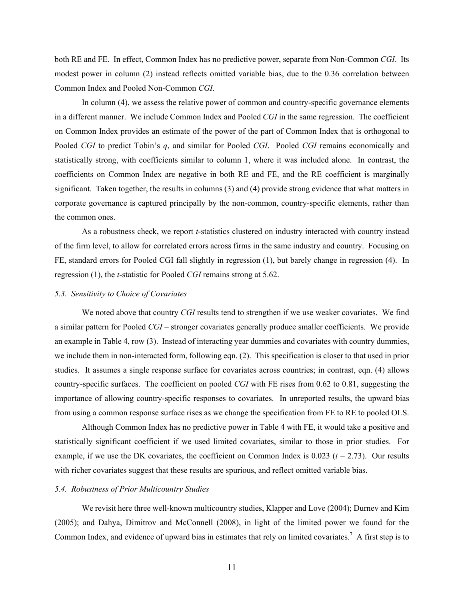both RE and FE. In effect, Common Index has no predictive power, separate from Non-Common *CGI*. Its modest power in column (2) instead reflects omitted variable bias, due to the 0.36 correlation between Common Index and Pooled Non-Common *CGI*.

In column (4), we assess the relative power of common and country-specific governance elements in a different manner. We include Common Index and Pooled *CGI* in the same regression. The coefficient on Common Index provides an estimate of the power of the part of Common Index that is orthogonal to Pooled *CGI* to predict Tobin's *q*, and similar for Pooled *CGI*. Pooled *CGI* remains economically and statistically strong, with coefficients similar to column 1, where it was included alone. In contrast, the coefficients on Common Index are negative in both RE and FE, and the RE coefficient is marginally significant. Taken together, the results in columns (3) and (4) provide strong evidence that what matters in corporate governance is captured principally by the non-common, country-specific elements, rather than the common ones.

As a robustness check, we report *t*-statistics clustered on industry interacted with country instead of the firm level, to allow for correlated errors across firms in the same industry and country. Focusing on FE, standard errors for Pooled CGI fall slightly in regression (1), but barely change in regression (4). In regression (1), the *t*-statistic for Pooled *CGI* remains strong at 5.62.

#### *5.3. Sensitivity to Choice of Covariates*

We noted above that country *CGI* results tend to strengthen if we use weaker covariates. We find a similar pattern for Pooled *CGI* – stronger covariates generally produce smaller coefficients. We provide an example in Table 4, row (3). Instead of interacting year dummies and covariates with country dummies, we include them in non-interacted form, following eqn. (2). This specification is closer to that used in prior studies. It assumes a single response surface for covariates across countries; in contrast, eqn. (4) allows country-specific surfaces. The coefficient on pooled *CGI* with FE rises from 0.62 to 0.81, suggesting the importance of allowing country-specific responses to covariates. In unreported results, the upward bias from using a common response surface rises as we change the specification from FE to RE to pooled OLS.

Although Common Index has no predictive power in Table 4 with FE, it would take a positive and statistically significant coefficient if we used limited covariates, similar to those in prior studies. For example, if we use the DK covariates, the coefficient on Common Index is  $0.023$  ( $t = 2.73$ ). Our results with richer covariates suggest that these results are spurious, and reflect omitted variable bias.

#### *5.4. Robustness of Prior Multicountry Studies*

We revisit here three well-known multicountry studies, Klapper and Love (2004); Durney and Kim (2005); and Dahya, Dimitrov and McConnell (2008), in light of the limited power we found for the Common Index, and evidence of upward bias in estimates that rely on limited covariates.<sup>7</sup> A first step is to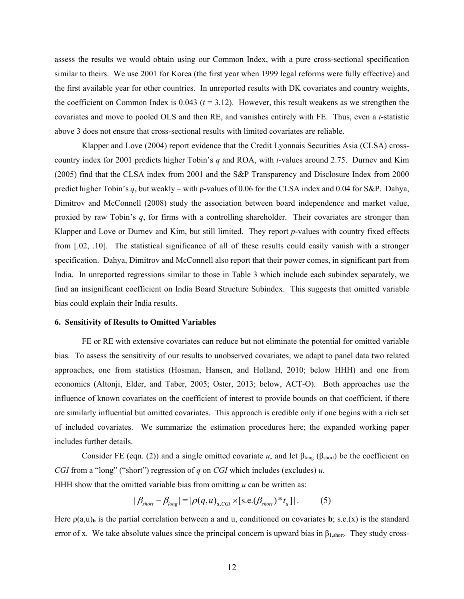assess the results we would obtain using our Common Index, with a pure cross-sectional specification similar to theirs. We use 2001 for Korea (the first year when 1999 legal reforms were fully effective) and the first available year for other countries. In unreported results with DK covariates and country weights, the coefficient on Common Index is 0.043 (*t* = 3.12). However, this result weakens as we strengthen the covariates and move to pooled OLS and then RE, and vanishes entirely with FE. Thus, even a *t*-statistic above 3 does not ensure that cross-sectional results with limited covariates are reliable.

Klapper and Love (2004) report evidence that the Credit Lyonnais Securities Asia (CLSA) crosscountry index for 2001 predicts higher Tobin's *q* and ROA, with *t*-values around 2.75. Durnev and Kim (2005) find that the CLSA index from 2001 and the S&P Transparency and Disclosure Index from 2000 predict higher Tobin's *q*, but weakly – with p-values of 0.06 for the CLSA index and 0.04 for S&P. Dahya, Dimitrov and McConnell (2008) study the association between board independence and market value, proxied by raw Tobin's *q*, for firms with a controlling shareholder. Their covariates are stronger than Klapper and Love or Durnev and Kim, but still limited. They report *p*-values with country fixed effects from [.02, .10]. The statistical significance of all of these results could easily vanish with a stronger specification. Dahya, Dimitrov and McConnell also report that their power comes, in significant part from India. In unreported regressions similar to those in Table 3 which include each subindex separately, we find an insignificant coefficient on India Board Structure Subindex. This suggests that omitted variable bias could explain their India results.

#### **6. Sensitivity of Results to Omitted Variables**

FE or RE with extensive covariates can reduce but not eliminate the potential for omitted variable bias. To assess the sensitivity of our results to unobserved covariates, we adapt to panel data two related approaches, one from statistics (Hosman, Hansen, and Holland, 2010; below HHH) and one from economics (Altonji, Elder, and Taber, 2005; Oster, 2013; below, ACT-O). Both approaches use the influence of known covariates on the coefficient of interest to provide bounds on that coefficient, if there are similarly influential but omitted covariates. This approach is credible only if one begins with a rich set of included covariates. We summarize the estimation procedures here; the expanded working paper includes further details.

Consider FE (eqn. (2)) and a single omitted covariate *u*, and let  $\beta_{long}$  ( $\beta_{short}$ ) be the coefficient on *CGI* from a "long" ("short") regression of *q* on *CGI* which includes (excludes) *u*. HHH show that the omitted variable bias from omitting *u* can be written as:

$$
|\beta_{short} - \beta_{long}| = |\rho(q, u)_{x, CGI} \times [s.e.(\beta_{short}) * t_u]|.
$$
 (5)

Here  $\rho(a, u)$ <sub>b</sub> is the partial correlation between a and u, conditioned on covariates **b**; s.e.(x) is the standard error of x. We take absolute values since the principal concern is upward bias in  $\beta_{1,\text{short}}$ . They study cross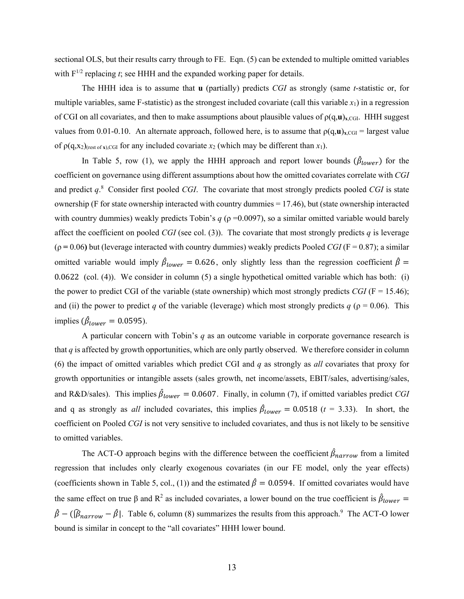sectional OLS, but their results carry through to FE. Eqn. (5) can be extended to multiple omitted variables with  $F^{1/2}$  replacing *t*; see HHH and the expanded working paper for details.

The HHH idea is to assume that **u** (partially) predicts *CGI* as strongly (same *t*-statistic or, for multiple variables, same F-statistic) as the strongest included covariate (call this variable  $x_1$ ) in a regression of CGI on all covariates, and then to make assumptions about plausible values of  $\rho(q,\mathbf{u})_{\mathbf{x},\text{CGI}}$ . HHH suggest values from 0.01-0.10. An alternate approach, followed here, is to assume that  $\rho(q,\mathbf{u})$ <sub>x,CGI</sub> = largest value of  $ρ(q, x<sub>2</sub>)$ <sub>(rest of x)</sub>, c<sub>GI</sub> for any included covariate  $x<sub>2</sub>$  (which may be different than  $x<sub>1</sub>$ ).

In Table 5, row (1), we apply the HHH approach and report lower bounds  $(\hat{\beta}_{lower})$  for the coefficient on governance using different assumptions about how the omitted covariates correlate with *CGI* and predict *q*. 8 Consider first pooled *CGI*. The covariate that most strongly predicts pooled *CGI* is state ownership (F for state ownership interacted with country dummies = 17.46), but (state ownership interacted with country dummies) weakly predicts Tobin's  $q$  ( $p = 0.0097$ ), so a similar omitted variable would barely affect the coefficient on pooled *CGI* (see col. (3)). The covariate that most strongly predicts *q* is leverage (ρ **=** 0.06**)** but (leverage interacted with country dummies) weakly predicts Pooled *CGI* (F = 0.87); a similar omitted variable would imply  $\hat{\beta}_{lower} = 0.626$ , only slightly less than the regression coefficient  $\hat{\beta} =$ 0.0622 (col. (4)). We consider in column (5) a single hypothetical omitted variable which has both: (i) the power to predict CGI of the variable (state ownership) which most strongly predicts *CGI* ( $F = 15.46$ ); and (ii) the power to predict *q* of the variable (leverage) which most strongly predicts *q* ( $\rho = 0.06$ ). This implies ( $\hat{\beta}_{lower} = 0.0595$ ).

A particular concern with Tobin's *q* as an outcome variable in corporate governance research is that *q* is affected by growth opportunities, which are only partly observed. We therefore consider in column (6) the impact of omitted variables which predict CGI and *q* as strongly as *all* covariates that proxy for growth opportunities or intangible assets (sales growth, net income/assets, EBIT/sales, advertising/sales, and R&D/sales). This implies  $\hat{\beta}_{lower} = 0.0607$ . Finally, in column (7), if omitted variables predict *CGI* and q as strongly as *all* included covariates, this implies  $\hat{\beta}_{lower} = 0.0518$  ( $t = 3.33$ ). In short, the coefficient on Pooled *CGI* is not very sensitive to included covariates, and thus is not likely to be sensitive to omitted variables.

The ACT-O approach begins with the difference between the coefficient  $\hat{\beta}_{narrow}$  from a limited regression that includes only clearly exogenous covariates (in our FE model, only the year effects) (coefficients shown in Table 5, col., (1)) and the estimated  $\hat{\beta} = 0.0594$ . If omitted covariates would have the same effect on true  $\beta$  and  $R^2$  as included covariates, a lower bound on the true coefficient is  $\beta_{lower}$  $\hat{\beta}$  – ( $[\hat{\beta}_{narrow} - \hat{\beta}]$ . Table 6, column (8) summarizes the results from this approach.<sup>9</sup> The ACT-O lower bound is similar in concept to the "all covariates" HHH lower bound.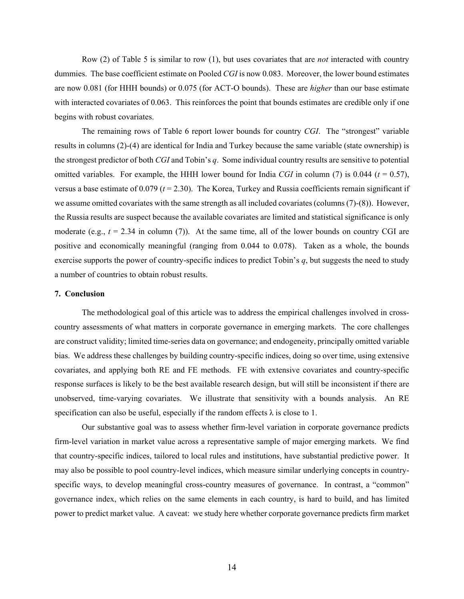Row (2) of Table 5 is similar to row (1), but uses covariates that are *not* interacted with country dummies. The base coefficient estimate on Pooled *CGI* is now 0.083. Moreover, the lower bound estimates are now 0.081 (for HHH bounds) or 0.075 (for ACT-O bounds). These are *higher* than our base estimate with interacted covariates of 0.063. This reinforces the point that bounds estimates are credible only if one begins with robust covariates.

The remaining rows of Table 6 report lower bounds for country *CGI*. The "strongest" variable results in columns (2)-(4) are identical for India and Turkey because the same variable (state ownership) is the strongest predictor of both *CGI* and Tobin's *q*. Some individual country results are sensitive to potential omitted variables. For example, the HHH lower bound for India *CGI* in column (7) is 0.044 (*t* = 0.57), versus a base estimate of 0.079 (*t* = 2.30). The Korea, Turkey and Russia coefficients remain significant if we assume omitted covariates with the same strength as all included covariates (columns (7)-(8)). However, the Russia results are suspect because the available covariates are limited and statistical significance is only moderate (e.g.,  $t = 2.34$  in column (7)). At the same time, all of the lower bounds on country CGI are positive and economically meaningful (ranging from 0.044 to 0.078). Taken as a whole, the bounds exercise supports the power of country-specific indices to predict Tobin's *q*, but suggests the need to study a number of countries to obtain robust results.

#### **7. Conclusion**

The methodological goal of this article was to address the empirical challenges involved in crosscountry assessments of what matters in corporate governance in emerging markets. The core challenges are construct validity; limited time-series data on governance; and endogeneity, principally omitted variable bias. We address these challenges by building country-specific indices, doing so over time, using extensive covariates, and applying both RE and FE methods. FE with extensive covariates and country-specific response surfaces is likely to be the best available research design, but will still be inconsistent if there are unobserved, time-varying covariates. We illustrate that sensitivity with a bounds analysis. An RE specification can also be useful, especially if the random effects  $\lambda$  is close to 1.

Our substantive goal was to assess whether firm-level variation in corporate governance predicts firm-level variation in market value across a representative sample of major emerging markets. We find that country-specific indices, tailored to local rules and institutions, have substantial predictive power. It may also be possible to pool country-level indices, which measure similar underlying concepts in countryspecific ways, to develop meaningful cross-country measures of governance. In contrast, a "common" governance index, which relies on the same elements in each country, is hard to build, and has limited power to predict market value. A caveat: we study here whether corporate governance predicts firm market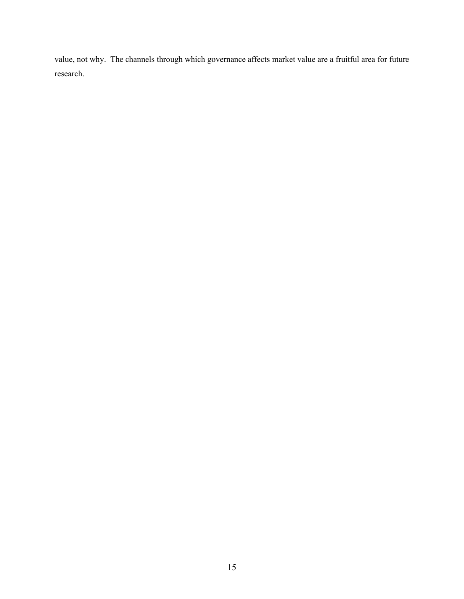value, not why. The channels through which governance affects market value are a fruitful area for future research.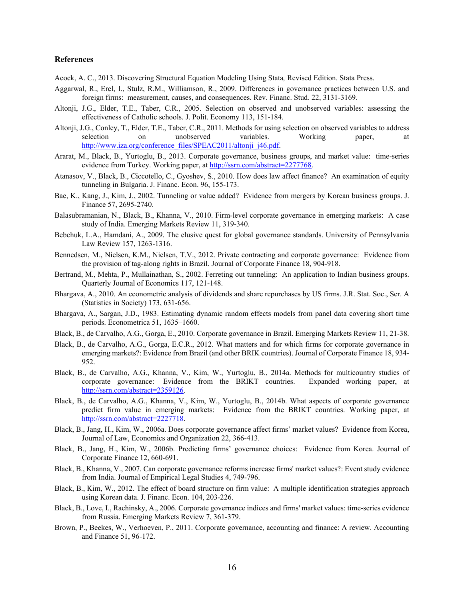#### **References**

- Acock, A. C., 2013. Discovering Structural Equation Modeling Using Stata*,* Revised Edition. Stata Press.
- Aggarwal, R., Erel, I., Stulz, R.M., Williamson, R., 2009. Differences in governance practices between U.S. and foreign firms: measurement, causes, and consequences. Rev. Financ. Stud. 22, 3131-3169.
- Altonji, J.G., Elder, T.E., Taber, C.R., 2005. Selection on observed and unobserved variables: assessing the effectiveness of Catholic schools. J. Polit. Economy 113, 151-184.
- Altonji, J.G., Conley, T., Elder, T.E., Taber, C.R., 2011. Methods for using selection on observed variables to address selection on unobserved variables. Working paper, at http://www.iza.org/conference\_files/SPEAC2011/altonji\_j46.pdf.
- Ararat, M., Black, B., Yurtoglu, B., 2013. Corporate governance, business groups, and market value: time-series evidence from Turkey. Working paper, at http://ssrn.com/abstract=2277768.
- Atanasov, V., Black, B., Ciccotello, C., Gyoshev, S., 2010. How does law affect finance? An examination of equity tunneling in Bulgaria. J. Financ. Econ. 96, 155-173.
- Bae, K., Kang, J., Kim, J., 2002. Tunneling or value added? Evidence from mergers by Korean business groups. J. Finance 57, 2695-2740.
- Balasubramanian, N., Black, B., Khanna, V., 2010. Firm-level corporate governance in emerging markets: A case study of India. Emerging Markets Review 11, 319-340.
- Bebchuk, L.A., Hamdani, A., 2009. The elusive quest for global governance standards. University of Pennsylvania Law Review 157, 1263-1316.
- Bennedsen, M., Nielsen, K.M., Nielsen, T.V., 2012. Private contracting and corporate governance: Evidence from the provision of tag-along rights in Brazil. Journal of Corporate Finance 18, 904-918.
- Bertrand, M., Mehta, P., Mullainathan, S., 2002. Ferreting out tunneling: An application to Indian business groups. Quarterly Journal of Economics 117, 121-148.
- Bhargava, A., 2010. An econometric analysis of dividends and share repurchases by US firms. J.R. Stat. Soc., Ser. A (Statistics in Society) 173, 631-656.
- Bhargava, A., Sargan, J.D., 1983. Estimating dynamic random effects models from panel data covering short time periods. Econometrica 51, 1635–1660.
- Black, B., de Carvalho, A.G., Gorga, E., 2010. Corporate governance in Brazil. Emerging Markets Review 11, 21-38.
- Black, B., de Carvalho, A.G., Gorga, E.C.R., 2012. What matters and for which firms for corporate governance in emerging markets?: Evidence from Brazil (and other BRIK countries). Journal of Corporate Finance 18, 934- 952.
- Black, B., de Carvalho, A.G., Khanna, V., Kim, W., Yurtoglu, B., 2014a. Methods for multicountry studies of corporate governance: Evidence from the BRIKT countries. Expanded working paper, at http://ssrn.com/abstract=2359126.
- Black, B., de Carvalho, A.G., Khanna, V., Kim, W., Yurtoglu, B., 2014b. What aspects of corporate governance predict firm value in emerging markets: Evidence from the BRIKT countries. Working paper, at http://ssrn.com/abstract=2227718.
- Black, B., Jang, H., Kim, W., 2006a. Does corporate governance affect firms' market values? Evidence from Korea, Journal of Law, Economics and Organization 22, 366-413.
- Black, B., Jang, H., Kim, W., 2006b. Predicting firms' governance choices: Evidence from Korea. Journal of Corporate Finance 12, 660-691.
- Black, B., Khanna, V., 2007. Can corporate governance reforms increase firms' market values?: Event study evidence from India. Journal of Empirical Legal Studies 4, 749-796.
- Black, B., Kim, W., 2012. The effect of board structure on firm value: A multiple identification strategies approach using Korean data. J. Financ. Econ. 104, 203-226.
- Black, B., Love, I., Rachinsky, A., 2006. Corporate governance indices and firms' market values: time-series evidence from Russia. Emerging Markets Review 7, 361-379.
- Brown, P., Beekes, W., Verhoeven, P., 2011. Corporate governance, accounting and finance: A review. Accounting and Finance 51, 96-172.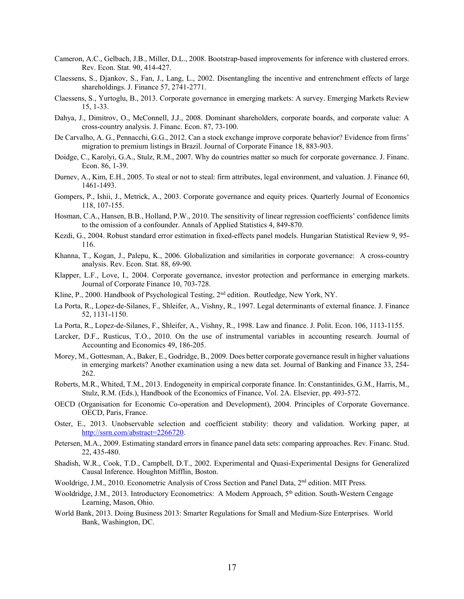- Cameron, A.C., Gelbach, J.B., Miller, D.L., 2008. Bootstrap-based improvements for inference with clustered errors. Rev. Econ. Stat. 90, 414-427.
- Claessens, S., Djankov, S., Fan, J., Lang, L., 2002. Disentangling the incentive and entrenchment effects of large shareholdings. J. Finance 57, 2741-2771.
- Claessens, S., Yurtoglu, B., 2013. Corporate governance in emerging markets: A survey. Emerging Markets Review 15, 1-33.
- Dahya, J., Dimitrov, O., McConnell, J.J., 2008. Dominant shareholders, corporate boards, and corporate value: A cross-country analysis. J. Financ. Econ. 87, 73-100.
- De Carvalho, A. G., Pennacchi, G.G., 2012. Can a stock exchange improve corporate behavior? Evidence from firms' migration to premium listings in Brazil. Journal of Corporate Finance 18, 883-903.
- Doidge, C., Karolyi, G.A., Stulz, R.M., 2007. Why do countries matter so much for corporate governance. J. Financ. Econ. 86, 1-39.
- Durnev, A., Kim, E.H., 2005. To steal or not to steal: firm attributes, legal environment, and valuation. J. Finance 60, 1461-1493.
- Gompers, P., Ishii, J., Metrick, A., 2003. Corporate governance and equity prices. Quarterly Journal of Economics 118, 107-155.
- Hosman, C.A., Hansen, B.B., Holland, P.W., 2010. The sensitivity of linear regression coefficients' confidence limits to the omission of a confounder. Annals of Applied Statistics 4, 849-870.
- Kezdi, G., 2004. Robust standard error estimation in fixed-effects panel models. Hungarian Statistical Review 9, 95- 116.
- Khanna, T., Kogan, J., Palepu, K., 2006. Globalization and similarities in corporate governance: A cross-country analysis. Rev. Econ. Stat. 88, 69-90.
- Klapper, L.F., Love, I., 2004. Corporate governance, investor protection and performance in emerging markets. Journal of Corporate Finance 10, 703-728.
- Kline, P., 2000. Handbook of Psychological Testing, 2nd edition. Routledge, New York, NY.
- La Porta, R., Lopez-de-Silanes, F., Shleifer, A., Vishny, R., 1997. Legal determinants of external finance. J. Finance 52, 1131-1150.
- La Porta, R., Lopez-de-Silanes, F., Shleifer, A., Vishny, R., 1998. Law and finance. J. Polit. Econ. 106, 1113-1155.
- Larcker, D.F., Rusticus, T.O., 2010. On the use of instrumental variables in accounting research. Journal of Accounting and Economics 49, 186-205.
- Morey, M., Gottesman, A., Baker, E., Godridge, B., 2009. Does better corporate governance result in higher valuations in emerging markets? Another examination using a new data set. Journal of Banking and Finance 33, 254- 262.
- Roberts, M.R., Whited, T.M., 2013. Endogeneity in empirical corporate finance. In: Constantinides, G.M., Harris, M., Stulz, R.M. (Eds.), Handbook of the Economics of Finance, Vol. 2A. Elsevier, pp. 493-572.
- OECD (Organisation for Economic Co-operation and Development), 2004. Principles of Corporate Governance. OECD, Paris, France.
- Oster, E., 2013. Unobservable selection and coefficient stability: theory and validation. Working paper, at http://ssrn.com/abstract=2266720.
- Petersen, M.A., 2009. Estimating standard errors in finance panel data sets: comparing approaches. Rev. Financ. Stud. 22, 435-480.
- Shadish, W.R., Cook, T.D., Campbell, D.T., 2002. Experimental and Quasi-Experimental Designs for Generalized Causal Inference. Houghton Mifflin, Boston.
- Wooldrige, J.M., 2010. Econometric Analysis of Cross Section and Panel Data, 2nd edition. MIT Press.
- Wooldridge, J.M., 2013. Introductory Econometrics: A Modern Approach, 5<sup>th</sup> edition. South-Western Cengage Learning, Mason, Ohio.
- World Bank, 2013. Doing Business 2013: Smarter Regulations for Small and Medium-Size Enterprises. World Bank, Washington, DC.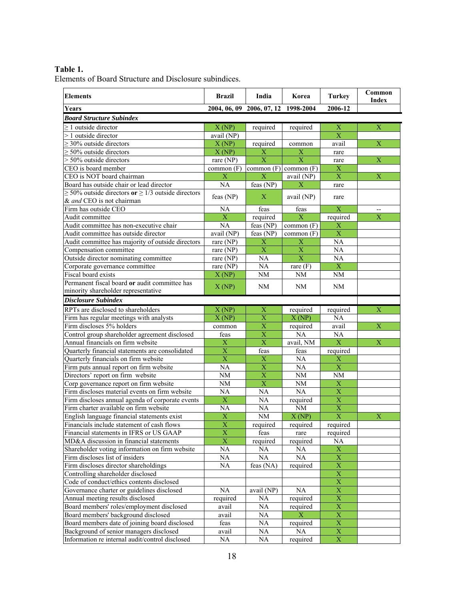### **Table 1.**

Elements of Board Structure and Disclosure subindices.

| <b>Elements</b>                                              | <b>Brazil</b>                 | India                     | Korea                   | <b>Turkey</b>           | Common<br>Index |  |  |
|--------------------------------------------------------------|-------------------------------|---------------------------|-------------------------|-------------------------|-----------------|--|--|
| Years                                                        | $2004, 06, 09$ $2006, 07, 12$ |                           | 1998-2004               | 2006-12                 |                 |  |  |
| <b>Board Structure Subindex</b>                              |                               |                           |                         |                         |                 |  |  |
| $\geq$ 1 outside director                                    | X(NP)                         | required                  | required                | $\mathbf X$             | $\mathbf X$     |  |  |
| > 1 outside director                                         | avail (NP)                    |                           |                         | $\overline{\text{X}}$   |                 |  |  |
| $\geq$ 30% outside directors                                 | X(NP)                         | required                  | common                  | avail                   | $\mathbf X$     |  |  |
| $\geq$ 50% outside directors                                 | X(NP)                         | $\mathbf X$               | $\mathbf X$             | rare                    |                 |  |  |
| > 50% outside directors                                      | rare $(NP)$                   | $\overline{\mathrm{X}}$   | $\overline{\mathrm{X}}$ | rare                    | $\bar{X}$       |  |  |
| CEO is board member                                          | common $(F)$                  | common $(F)$              | common $(F)$            | $\mathbf X$             |                 |  |  |
| CEO is NOT board chairman                                    | $\mathbf X$                   | $\mathbf X$               | avail (NP)              | $\mathbf X$             | $\mathbf X$     |  |  |
| Board has outside chair or lead director                     | NA                            | feas (NP)                 | X                       | rare                    |                 |  |  |
| $\geq$ 50% outside directors or $\geq$ 1/3 outside directors |                               |                           |                         |                         |                 |  |  |
| & and CEO is not chairman                                    | feas (NP)                     | X                         | avail (NP)              | rare                    |                 |  |  |
| Firm has outside CEO                                         | $\overline{NA}$               | feas                      | feas                    | $\overline{\mathbf{X}}$ | $-$             |  |  |
| Audit committee                                              | X                             | required                  | X                       | required                | $\overline{X}$  |  |  |
| Audit committee has non-executive chair                      | NA                            | feas $(NP)$               | common $(F)$            | X                       |                 |  |  |
| Audit committee has outside director                         | avail (NP)                    | feas $(NP)$               | common $(F)$            | $\mathbf X$             |                 |  |  |
| Audit committee has majority of outside directors            | rare $(NP)$                   | $\boldsymbol{\mathrm{X}}$ | $\mathbf X$             | NA                      |                 |  |  |
| Compensation committee                                       | rare $(NP)$                   | $\overline{X}$            | $\overline{\textbf{X}}$ | NA                      |                 |  |  |
| Outside director nominating committee                        | rare $(NP)$                   | NA                        | $\mathbf X$             | NA                      |                 |  |  |
| Corporate governance committee                               | rare (NP)                     | NA                        | rare $(F)$              | $\mathbf X$             |                 |  |  |
| Fiscal board exists                                          | X(NP)                         | NΜ                        | <b>NM</b>               | <b>NM</b>               |                 |  |  |
| Permanent fiscal board or audit committee has                |                               |                           |                         |                         |                 |  |  |
| minority shareholder representative                          | X(NP)                         | <b>NM</b>                 | <b>NM</b>               | NM                      |                 |  |  |
| <b>Disclosure Subindex</b>                                   |                               |                           |                         |                         |                 |  |  |
| RPTs are disclosed to shareholders                           | X(NP)                         | $\mathbf X$               | required                | required                | $\mathbf X$     |  |  |
| Firm has regular meetings with analysts                      | $\overline{X(NP)}$            | $\overline{X}$            | X(NP)                   | NA                      |                 |  |  |
| Firm discloses 5% holders                                    | common                        | $\overline{\textbf{X}}$   | required                | avail                   | $\mathbf X$     |  |  |
| Control group shareholder agreement disclosed                | feas                          | $\mathbf X$               | NA                      | NA                      |                 |  |  |
| Annual financials on firm website                            | $\mathbf X$                   | $\mathbf X$               | avail, NM               | $\mathbf X$             | $\mathbf X$     |  |  |
| Quarterly financial statements are consolidated              | $\overline{\mathbf{X}}$       | feas                      | feas                    | required                |                 |  |  |
| Quarterly financials on firm website                         | $\overline{X}$                | $\mathbf X$               | NA                      | $\mathbf X$             |                 |  |  |
| Firm puts annual report on firm website                      | <b>NA</b>                     | $\mathbf X$               | NA                      | $\overline{\textbf{X}}$ |                 |  |  |
| Directors' report on firm website                            | NM                            | $\boldsymbol{\mathrm{X}}$ | NM                      | NM                      |                 |  |  |
| Corp governance report on firm website                       | NΜ                            | $\bar{X}$                 | NΜ                      | $\mathbf X$             |                 |  |  |
| Firm discloses material events on firm website               | <b>NA</b>                     | <b>NA</b>                 | NA                      | $\overline{\mathrm{X}}$ |                 |  |  |
| Firm discloses annual agenda of corporate events             | $\mathbf X$                   | NA                        | required                | $\overline{\mathbf{X}}$ |                 |  |  |
| Firm charter available on firm website                       | <b>NA</b>                     | NA                        | NM                      | $\overline{\mathbf{X}}$ |                 |  |  |
| English language financial statements exist                  | $\mathbf X$                   | <b>NM</b>                 | X(NP)                   | $\overline{\text{X}}$   | $\mathbf X$     |  |  |
| Financials include statement of cash flows                   | $\overline{\text{X}}$         | required                  | required                | required                |                 |  |  |
| Financial statements in IFRS or US GAAP                      | $\overline{\textbf{X}}$       | feas                      | rare                    | required                |                 |  |  |
| MD&A discussion in financial statements                      | $\overline{\text{X}}$         | required                  | required                | <b>NA</b>               |                 |  |  |
| Shareholder voting information on firm website               | $\rm NA$                      | NA                        | NA                      | $\overline{\textbf{X}}$ |                 |  |  |
| Firm discloses list of insiders                              | $\overline{NA}$               | NA                        | NA                      | $\overline{\textbf{X}}$ |                 |  |  |
| Firm discloses director shareholdings                        | NA                            | feas (NA)                 | required                | $\overline{\textbf{X}}$ |                 |  |  |
| Controlling shareholder disclosed                            |                               |                           |                         | $\overline{\textbf{X}}$ |                 |  |  |
| Code of conduct/ethics contents disclosed                    |                               |                           |                         | $\overline{\textbf{X}}$ |                 |  |  |
| Governance charter or guidelines disclosed                   | $\rm NA$                      | avail (NP)                | NA                      | $\overline{\textbf{X}}$ |                 |  |  |
| Annual meeting results disclosed                             | required                      | NA                        | required                | $\overline{\textbf{X}}$ |                 |  |  |
| Board members' roles/employment disclosed                    | avail                         | NA                        | required                | $\mathbf X$             |                 |  |  |
| Board members' background disclosed                          | avail                         | NA                        | $\mathbf X$             | $\mathbf X$             |                 |  |  |
| Board members date of joining board disclosed                | feas                          | NA                        | required                | $\overline{X}$          |                 |  |  |
| Background of senior managers disclosed                      | avail                         | NA                        | NA                      | $\overline{\textbf{X}}$ |                 |  |  |
| Information re internal audit/control disclosed              | $\rm NA$                      | NA                        | required                | $\overline{\text{X}}$   |                 |  |  |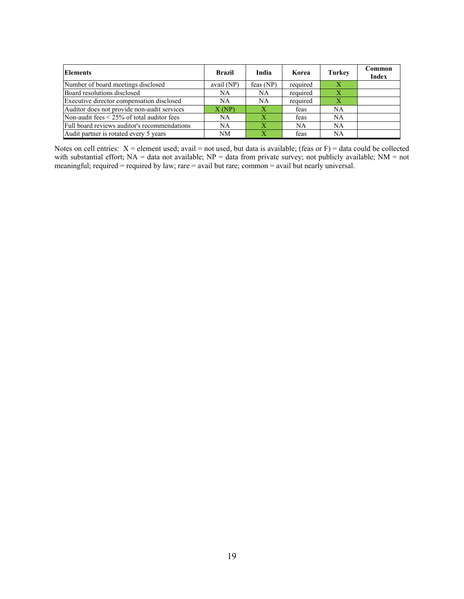| <b>Elements</b>                                 | <b>Brazil</b> | India        | Korea    | <b>Turkey</b> | Common<br><b>Index</b> |
|-------------------------------------------------|---------------|--------------|----------|---------------|------------------------|
| Number of board meetings disclosed              | avail (NP)    | feas $(NP)$  | required | X             |                        |
| Board resolutions disclosed                     | <b>NA</b>     | <b>NA</b>    | required |               |                        |
| Executive director compensation disclosed       | NA            | <b>NA</b>    | required |               |                        |
| Auditor does not provide non-audit services     | X(NP)         | $\mathbf{X}$ | feas     | NA            |                        |
| Non-audit fees $\leq$ 25% of total auditor fees | NA            | X            | feas     | <b>NA</b>     |                        |
| Full board reviews auditor's recommendations    | NA            | Х            | NA       | <b>NA</b>     |                        |
| Audit partner is rotated every 5 years          | NΜ            | X            | feas     | <b>NA</b>     |                        |

Notes on cell entries:  $X =$  element used; avail = not used, but data is available; (feas or F) = data could be collected with substantial effort; NA = data not available; NP = data from private survey; not publicly available; NM = not meaningful; required = required by law; rare = avail but rare; common = avail but nearly universal.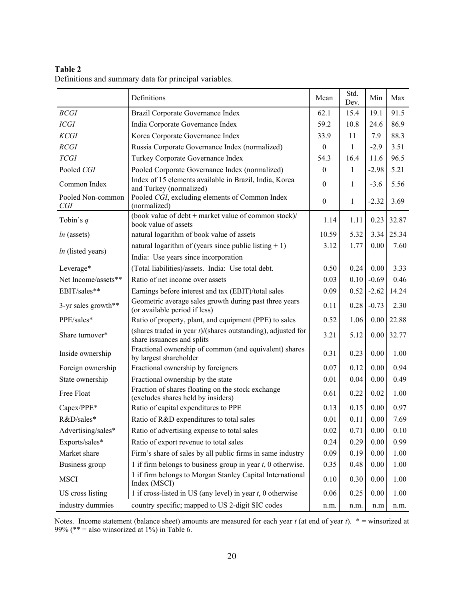|                          | Definitions                                                                                   | Mean             | Std.<br>Dev. | Min     | Max   |
|--------------------------|-----------------------------------------------------------------------------------------------|------------------|--------------|---------|-------|
| BCGI                     | Brazil Corporate Governance Index                                                             | 62.1             | 15.4         | 19.1    | 91.5  |
| <i>ICGI</i>              | India Corporate Governance Index                                                              | 59.2             | 10.8         | 24.6    | 86.9  |
| <b>KCGI</b>              | Korea Corporate Governance Index                                                              | 33.9             | 11           | 7.9     | 88.3  |
| RCGI                     | Russia Corporate Governance Index (normalized)                                                | $\boldsymbol{0}$ | $\mathbf{1}$ | $-2.9$  | 3.51  |
| <b>TCGI</b>              | Turkey Corporate Governance Index                                                             | 54.3             | 16.4         | 11.6    | 96.5  |
| Pooled CGI               | Pooled Corporate Governance Index (normalized)                                                | $\boldsymbol{0}$ | 1            | $-2.98$ | 5.21  |
| Common Index             | Index of 15 elements available in Brazil, India, Korea<br>and Turkey (normalized)             | $\theta$         | 1            | $-3.6$  | 5.56  |
| Pooled Non-common<br>CGI | Pooled CGI, excluding elements of Common Index<br>(normalized)                                | $\boldsymbol{0}$ | $\mathbf{1}$ | $-2.32$ | 3.69  |
| Tobin's $q$              | (book value of debt + market value of common stock)/<br>book value of assets                  | 1.14             | 1.11         | 0.23    | 32.87 |
| ln (assets)              | natural logarithm of book value of assets                                                     | 10.59            | 5.32         | 3.34    | 25.34 |
|                          | natural logarithm of (years since public listing $+1$ )                                       | 3.12             | 1.77         | 0.00    | 7.60  |
| <i>ln</i> (listed years) | India: Use years since incorporation                                                          |                  |              |         |       |
| Leverage*                | (Total liabilities)/assets. India: Use total debt.                                            | 0.50             | 0.24         | 0.00    | 3.33  |
| Net Income/assets**      | Ratio of net income over assets                                                               | 0.03             | 0.10         | $-0.69$ | 0.46  |
| EBIT/sales**             | Earnings before interest and tax (EBIT)/total sales                                           | 0.09             | 0.52         | $-2.62$ | 14.24 |
| 3-yr sales growth**      | Geometric average sales growth during past three years<br>(or available period if less)       | 0.11             | 0.28         | $-0.73$ | 2.30  |
| PPE/sales*               | Ratio of property, plant, and equipment (PPE) to sales                                        | 0.52             | 1.06         | 0.00    | 22.88 |
| Share turnover*          | (shares traded in year $t$ )/(shares outstanding), adjusted for<br>share issuances and splits | 3.21             | 5.12         | 0.00    | 32.77 |
| Inside ownership         | Fractional ownership of common (and equivalent) shares<br>by largest shareholder              | 0.31             | 0.23         | 0.00    | 1.00  |
| Foreign ownership        | Fractional ownership by foreigners                                                            | 0.07             | 0.12         | 0.00    | 0.94  |
| State ownership          | Fractional ownership by the state                                                             | 0.01             | 0.04         | 0.00    | 0.49  |
| Free Float               | Fraction of shares floating on the stock exchange<br>(excludes shares held by insiders)       | 0.61             | 0.22         | 0.02    | 1.00  |
| Capex/PPE*               | Ratio of capital expenditures to PPE                                                          | 0.13             | 0.15         | 0.00    | 0.97  |
| R&D/sales*               | Ratio of R&D expenditures to total sales                                                      | 0.01             | 0.11         | 0.00    | 7.69  |
| Advertising/sales*       | Ratio of advertising expense to total sales                                                   | 0.02             | 0.71         | 0.00    | 0.10  |
| Exports/sales*           | Ratio of export revenue to total sales                                                        | 0.24             | 0.29         | 0.00    | 0.99  |
| Market share             | Firm's share of sales by all public firms in same industry                                    | 0.09             | 0.19         | 0.00    | 1.00  |
| Business group           | 1 if firm belongs to business group in year $t$ , 0 otherwise.                                | 0.35             | 0.48         | 0.00    | 1.00  |
| <b>MSCI</b>              | 1 if firm belongs to Morgan Stanley Capital International<br>Index (MSCI)                     | 0.10             | 0.30         | 0.00    | 1.00  |
| US cross listing         | 1 if cross-listed in US (any level) in year $t$ , 0 otherwise                                 | 0.06             | 0.25         | 0.00    | 1.00  |
| industry dummies         | country specific; mapped to US 2-digit SIC codes                                              | n.m.             | n.m.         | n.m     | n.m.  |

**Table 2**  Definitions and summary data for principal variables.

Notes. Income statement (balance sheet) amounts are measured for each year *t* (at end of year *t*). \* = winsorized at 99% ( $**$  = also winsorized at 1%) in Table 6.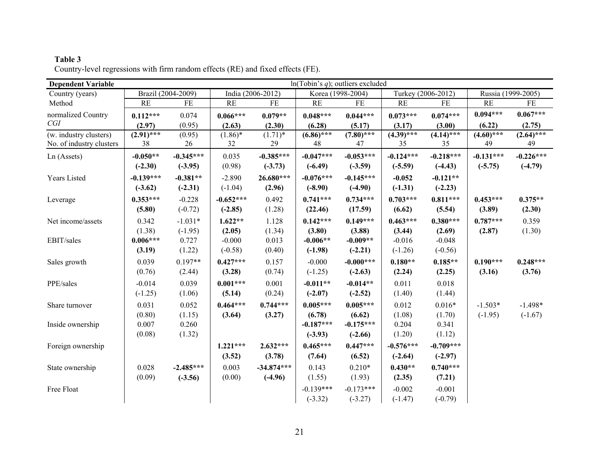# **Table 3**  Country-level regressions with firm random effects (RE) and fixed effects (FE).

| <b>Dependent Variable</b> | $ln(Tobin's q)$ ; outliers excluded |                    |             |                   |                   |              |              |                    |              |                    |
|---------------------------|-------------------------------------|--------------------|-------------|-------------------|-------------------|--------------|--------------|--------------------|--------------|--------------------|
| Country (years)           |                                     | Brazil (2004-2009) |             | India (2006-2012) | Korea (1998-2004) |              |              | Turkey (2006-2012) |              | Russia (1999-2005) |
| Method                    | <b>RE</b>                           | FE                 | RE          | FE                | <b>RE</b>         | FE           | <b>RE</b>    | FE                 | RE           | $\rm FE$           |
| normalized Country        | $0.112***$                          | 0.074              | $0.066***$  | $0.079**$         | $0.048***$        | $0.044***$   | $0.073***$   | $0.074***$         | $0.094***$   | $0.067***$         |
| CGI                       | (2.97)                              | (0.95)             | (2.63)      | (2.30)            | (6.28)            | (5.17)       | (3.17)       | (3.00)             | (6.22)       | (2.75)             |
| (w. industry clusters)    | $(2.91)$ ***                        | (0.95)             | $(1.86)$ *  | $(1.71)^*$        | $(6.86)$ ***      | $(7.80)$ *** | $(4.39)$ *** | $(4.14)$ ***       | $(4.60)$ *** | $(2.64)$ ***       |
| No. of industry clusters  | 38                                  | 26                 | 32          | 29                | 48                | 47           | 35           | 35                 | 49           | 49                 |
| Ln (Assets)               | $-0.050**$                          | $-0.345***$        | 0.035       | $-0.385***$       | $-0.047***$       | $-0.053***$  | $-0.124***$  | $-0.218***$        | $-0.131***$  | $-0.226***$        |
|                           | $(-2.30)$                           | $(-3.95)$          | (0.98)      | $(-3.73)$         | $(-6.49)$         | $(-3.59)$    | $(-5.59)$    | $(-4.43)$          | $(-5.75)$    | $(-4.79)$          |
| Years Listed              | $-0.139***$                         | $-0.381**$         | $-2.890$    | 26.680***         | $-0.076***$       | $-0.145***$  | $-0.052$     | $-0.121**$         |              |                    |
|                           | $(-3.62)$                           | $(-2.31)$          | $(-1.04)$   | (2.96)            | $(-8.90)$         | $(-4.90)$    | $(-1.31)$    | $(-2.23)$          |              |                    |
| Leverage                  | $0.353***$                          | $-0.228$           | $-0.652***$ | 0.492             | $0.741***$        | $0.734***$   | $0.703***$   | $0.811***$         | $0.453***$   | $0.375**$          |
|                           | (5.80)                              | $(-0.72)$          | $(-2.85)$   | (1.28)            | (22.46)           | (17.59)      | (6.62)       | (5.54)             | (3.89)       | (2.30)             |
| Net income/assets         | 0.342                               | $-1.031*$          | $1.622**$   | 1.128             | $0.142***$        | $0.149***$   | $0.463***$   | $0.380***$         | $0.787***$   | 0.359              |
|                           | (1.38)                              | $(-1.95)$          | (2.05)      | (1.34)            | (3.80)            | (3.88)       | (3.44)       | (2.69)             | (2.87)       | (1.30)             |
| EBIT/sales                | $0.006***$                          | 0.727              | $-0.000$    | 0.013             | $-0.006**$        | $-0.009**$   | $-0.016$     | $-0.048$           |              |                    |
|                           | (3.19)                              | (1.22)             | $(-0.58)$   | (0.40)            | $(-1.98)$         | $(-2.21)$    | $(-1.26)$    | $(-0.56)$          |              |                    |
| Sales growth              | 0.039                               | $0.197**$          | $0.427***$  | 0.157             | $-0.000$          | $-0.000***$  | $0.180**$    | $0.185**$          | $0.190***$   | $0.248***$         |
|                           | (0.76)                              | (2.44)             | (3.28)      | (0.74)            | $(-1.25)$         | $(-2.63)$    | (2.24)       | (2.25)             | (3.16)       | (3.76)             |
| PPE/sales                 | $-0.014$                            | 0.039              | $0.001***$  | 0.001             | $-0.011**$        | $-0.014**$   | 0.011        | 0.018              |              |                    |
|                           | $(-1.25)$                           | (1.06)             | (5.14)      | (0.24)            | $(-2.07)$         | $(-2.52)$    | (1.40)       | (1.44)             |              |                    |
| Share turnover            | 0.031                               | 0.052              | $0.464***$  | $0.744***$        | $0.005***$        | $0.005***$   | 0.012        | $0.016*$           | $-1.503*$    | $-1.498*$          |
|                           | (0.80)                              | (1.15)             | (3.64)      | (3.27)            | (6.78)            | (6.62)       | (1.08)       | (1.70)             | $(-1.95)$    | $(-1.67)$          |
| Inside ownership          | 0.007                               | 0.260              |             |                   | $-0.187***$       | $-0.175***$  | 0.204        | 0.341              |              |                    |
|                           | (0.08)                              | (1.32)             |             |                   | $(-3.93)$         | $(-2.66)$    | (1.20)       | (1.12)             |              |                    |
| Foreign ownership         |                                     |                    | $1.221***$  | $2.632***$        | $0.465***$        | $0.447***$   | $-0.576***$  | $-0.709***$        |              |                    |
|                           |                                     |                    | (3.52)      | (3.78)            | (7.64)            | (6.52)       | $(-2.64)$    | $(-2.97)$          |              |                    |
| State ownership           | 0.028                               | $-2.485***$        | 0.003       | $-34.874***$      | 0.143             | $0.210*$     | $0.430**$    | $0.740***$         |              |                    |
|                           | (0.09)                              | $(-3.56)$          | (0.00)      | $(-4.96)$         | (1.55)            | (1.93)       | (2.35)       | (7.21)             |              |                    |
| Free Float                |                                     |                    |             |                   | $-0.139***$       | $-0.173***$  | $-0.002$     | $-0.001$           |              |                    |
|                           |                                     |                    |             |                   | $(-3.32)$         | $(-3.27)$    | $(-1.47)$    | $(-0.79)$          |              |                    |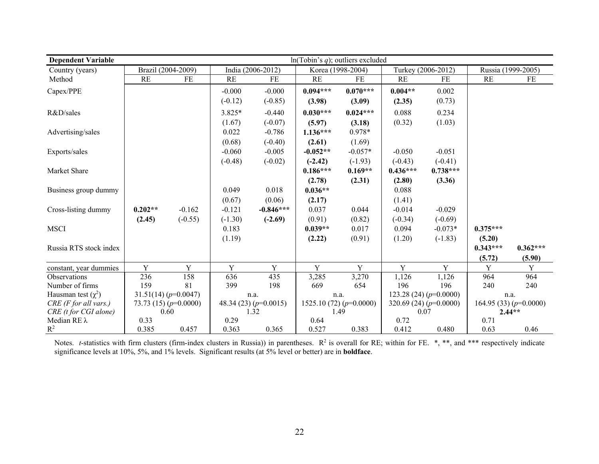| <b>Dependent Variable</b> | $ln(Tobin's q)$ ; outliers excluded |                         |           |                         |            |                                                       |                          |            |                          |            |
|---------------------------|-------------------------------------|-------------------------|-----------|-------------------------|------------|-------------------------------------------------------|--------------------------|------------|--------------------------|------------|
| Country (years)           |                                     | Brazil (2004-2009)      |           | India (2006-2012)       |            | Korea (1998-2004)                                     | Turkey (2006-2012)       |            | Russia (1999-2005)       |            |
| Method                    | <b>RE</b>                           | FE                      | <b>RE</b> | FE                      | <b>RE</b>  | FE                                                    | <b>RE</b>                | FE         | RE                       | FE         |
| Capex/PPE                 |                                     |                         | $-0.000$  | $-0.000$                | $0.094***$ | $0.070***$                                            | $0.004**$                | 0.002      |                          |            |
|                           |                                     |                         | $(-0.12)$ | $(-0.85)$               | (3.98)     | (3.09)                                                | (2.35)                   | (0.73)     |                          |            |
| R&D/sales                 |                                     |                         | 3.825*    | $-0.440$                | $0.030***$ | $0.024***$                                            | 0.088                    | 0.234      |                          |            |
|                           |                                     |                         | (1.67)    | $(-0.07)$               | (5.97)     | (3.18)                                                | (0.32)                   | (1.03)     |                          |            |
| Advertising/sales         |                                     |                         | 0.022     | $-0.786$                | $1.136***$ | 0.978*                                                |                          |            |                          |            |
|                           |                                     |                         | (0.68)    | $(-0.40)$               | (2.61)     | (1.69)                                                |                          |            |                          |            |
| Exports/sales             |                                     |                         | $-0.060$  | $-0.005$                | $-0.052**$ | $-0.057*$                                             | $-0.050$                 | $-0.051$   |                          |            |
|                           |                                     |                         | $(-0.48)$ | $(-0.02)$               | $(-2.42)$  | $(-1.93)$                                             | $(-0.43)$                | $(-0.41)$  |                          |            |
| Market Share              |                                     |                         |           |                         | $0.186***$ | $0.169**$                                             | $0.436***$               | $0.738***$ |                          |            |
|                           |                                     |                         |           |                         | (2.78)     | (2.31)                                                | (2.80)                   | (3.36)     |                          |            |
| Business group dummy      |                                     |                         | 0.049     | 0.018                   | $0.036**$  |                                                       | 0.088                    |            |                          |            |
|                           |                                     |                         | (0.67)    | (0.06)                  | (2.17)     |                                                       | (1.41)                   |            |                          |            |
| Cross-listing dummy       | $0.202**$                           | $-0.162$                | $-0.121$  | $-0.846***$             | 0.037      | 0.044                                                 | $-0.014$                 | $-0.029$   |                          |            |
|                           | (2.45)                              | $(-0.55)$               | $(-1.30)$ | $(-2.69)$               | (0.91)     | (0.82)                                                | $(-0.34)$                | $(-0.69)$  |                          |            |
| <b>MSCI</b>               |                                     |                         | 0.183     |                         | $0.039**$  | 0.017                                                 | 0.094                    | $-0.073*$  | $0.375***$               |            |
|                           |                                     |                         | (1.19)    |                         | (2.22)     | (0.91)                                                | (1.20)                   | $(-1.83)$  | (5.20)                   |            |
| Russia RTS stock index    |                                     |                         |           |                         |            |                                                       |                          |            | $0.343***$               | $0.362***$ |
|                           |                                     |                         |           |                         |            |                                                       |                          |            | (5.72)                   | (5.90)     |
| constant, year dummies    | Y                                   | Y                       | Y         | Y                       | Y          | Y                                                     | Y                        | Y          | Y                        | Y          |
| Observations              | 236                                 | 158                     | 636       | 435                     | 3,285      | 3,270                                                 | 1,126                    | 1,126      | 964                      | 964        |
| Number of firms           | 159                                 | 81                      | 399       | 198                     | 669        | 654                                                   | 196                      | 196        | 240                      | 240        |
| Hausman test $(\chi^2)$   |                                     | $31.51(14) (p=0.0047)$  |           | n.a.                    |            | n.a.                                                  | 123.28 (24) $(p=0.0000)$ |            | n.a.                     |            |
| $CRE$ (F for all vars.)   |                                     | 73.73 (15) $(p=0.0000)$ |           | 48.34 (23) $(p=0.0015)$ |            | 1525.10 (72) $(p=0.0000)$<br>320.69 (24) $(p=0.0000)$ |                          |            | 164.95 (33) $(p=0.0000)$ |            |
| CRE (t for CGI alone)     |                                     | 0.60                    |           | 1.32                    |            | 1.49                                                  |                          | 0.07       | $2.44**$                 |            |
| Median REλ                | 0.33                                |                         | 0.29      |                         | 0.64       |                                                       | 0.72                     |            | 0.71                     |            |
| $R^2$                     | 0.385                               | 0.457                   | 0.363     | 0.365                   | 0.527      | 0.383                                                 | 0.412                    | 0.480      | 0.63                     | 0.46       |

Notes. *t*-statistics with firm clusters (firm-index clusters in Russia)) in parentheses.  $R^2$  is overall for RE; within for FE. \*, \*\*, and \*\*\* respectively indicate significance levels at 10%, 5%, and 1% levels. Significant results (at 5% level or better) are in **boldface**.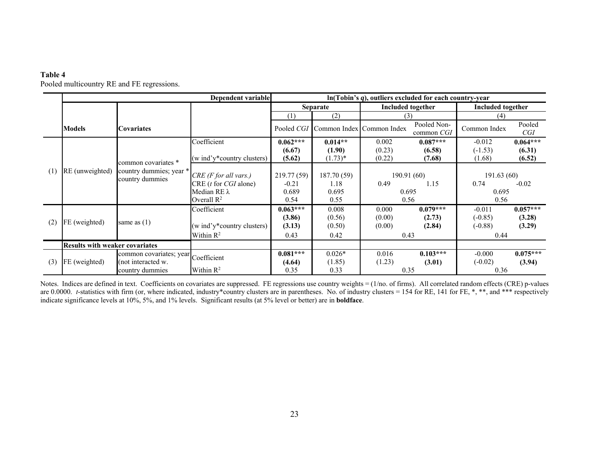#### **Table 4**

Pooled multicountry RE and FE regressions.

|     |                                       |                                            | Dependent variable         | $ln(Tobin's q)$ , outliers excluded for each country-year |                                      |                          |                           |                   |               |  |  |  |
|-----|---------------------------------------|--------------------------------------------|----------------------------|-----------------------------------------------------------|--------------------------------------|--------------------------|---------------------------|-------------------|---------------|--|--|--|
|     |                                       |                                            |                            |                                                           | <b>Separate</b>                      | <b>Included together</b> |                           | Included together |               |  |  |  |
|     |                                       |                                            |                            | (1)                                                       | (2)                                  | (3)                      |                           | (4)               |               |  |  |  |
|     | <b>Models</b>                         | <b>Covariates</b>                          |                            |                                                           | Pooled CGI Common Index Common Index |                          | Pooled Non-<br>common CGI | Common Index      | Pooled<br>CGI |  |  |  |
|     |                                       |                                            | Coefficient                | $0.062***$                                                | $0.014**$                            | 0.002                    | $0.087***$                | $-0.012$          | $0.064***$    |  |  |  |
|     |                                       |                                            |                            | (6.67)                                                    | (1.90)                               | (0.23)                   | (6.58)                    | $(-1.53)$         | (6.31)        |  |  |  |
|     |                                       | common covariates *                        | (w ind'y*country clusters) | (5.62)                                                    | $(1.73)*$                            | (0.22)                   | (7.68)                    | (1.68)            | (6.52)        |  |  |  |
| (1) | RE (unweighted)                       | country dummies; year *<br>country dummies | $CRE$ (F for all vars.)    | 219.77 (59)                                               | 187.70(59)                           | 190.91(60)               |                           | 191.63 (60)       |               |  |  |  |
|     |                                       |                                            | CRE (t for CGI alone)      | $-0.21$                                                   | 1.18                                 | 0.49                     | 1.15                      | 0.74              | $-0.02$       |  |  |  |
|     |                                       |                                            | Median RE λ                | 0.689                                                     | 0.695                                | 0.695                    |                           | 0.695             |               |  |  |  |
|     |                                       |                                            | Overall $\mathbb{R}^2$     | 0.54                                                      | 0.55                                 | 0.56                     |                           | 0.56              |               |  |  |  |
|     |                                       |                                            | Coefficient                | $0.063***$                                                | 0.008                                | 0.000                    | $0.079***$                | $-0.011$          | $0.057***$    |  |  |  |
| (2) | FE (weighted)                         | same as $(1)$                              |                            | (3.86)                                                    | (0.56)                               | (0.00)                   | (2.73)                    | $(-0.85)$         | (3.28)        |  |  |  |
|     |                                       |                                            | (w ind'y*country clusters) | (3.13)                                                    | (0.50)                               | (0.00)                   | (2.84)                    | $(-0.88)$         | (3.29)        |  |  |  |
|     |                                       |                                            | Within $\mathbb{R}^2$      | 0.43                                                      | 0.42                                 |                          | 0.43                      |                   |               |  |  |  |
|     | <b>Results with weaker covariates</b> |                                            |                            |                                                           |                                      |                          |                           |                   |               |  |  |  |
|     |                                       | common covariates; year Coefficient        |                            | $0.081***$                                                | $0.026*$                             | 0.016                    | $0.103***$                | $-0.000$          | $0.075***$    |  |  |  |
| (3) | FE (weighted)                         | (not interacted w.                         |                            | (4.64)                                                    | (1.85)                               | (1.23)                   | (3.01)                    | $(-0.02)$         | (3.94)        |  |  |  |
|     |                                       | country dummies                            | Within $\mathbb{R}^2$      | 0.35                                                      | 0.33                                 | 0.35                     |                           | 0.36              |               |  |  |  |

Notes. Indices are defined in text. Coefficients on covariates are suppressed. FE regressions use country weights = (1/no. of firms). All correlated random effects (CRE) p-values are 0.0000. *t*-statistics with firm (or, where indicated, industry\*country clusters are in parentheses. No. of industry clusters = 154 for RE, 141 for FE, \*, \*\*, and \*\*\* respectively indicate significance levels at 10%, 5%, and 1% levels. Significant results (at 5% level or better) are in **boldface**.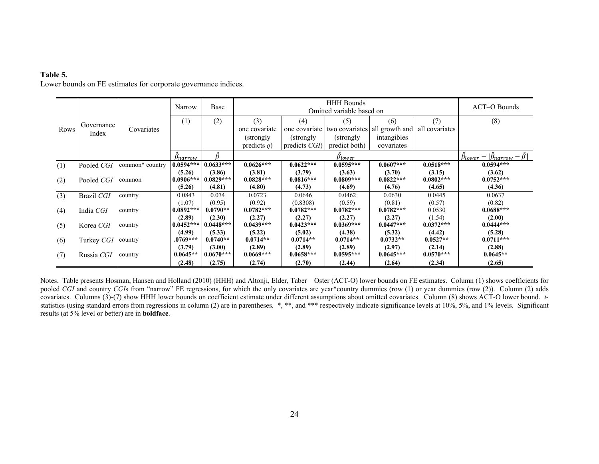#### **Table 5.**

Lower bounds on FE estimates for corporate governance indices.

|      |                     |                 | Narrow                 | Base        |                | Omitted variable based on |               | ACT-O Bounds                  |                |                                                                              |  |
|------|---------------------|-----------------|------------------------|-------------|----------------|---------------------------|---------------|-------------------------------|----------------|------------------------------------------------------------------------------|--|
|      |                     |                 | (1)                    | (2)         | (3)            | (4)                       | (5)           | (6)                           | (7)            | (8)                                                                          |  |
| Rows | Governance<br>Index | Covariates      |                        |             | one covariate  | one covariate             |               | two covariates all growth and | all covariates |                                                                              |  |
|      |                     |                 |                        |             | (strongly)     | (strongly)                | (strongly)    | intangibles                   |                |                                                                              |  |
|      |                     |                 |                        |             | predicts $q$ ) | predicts $CGI$            | predict both) | covariates                    |                |                                                                              |  |
|      |                     |                 | $\hat{\beta}_{narrow}$ |             |                | $\beta_{lower}$           |               |                               |                |                                                                              |  |
| (1)  | Pooled CGI          | common* country | $0.0594***$            | $0.0633***$ | $0.0626***$    | $0.0622***$               | $0.0595***$   | $0.0607***$                   | $0.0518***$    | $ \hat{\beta}_{lower} -  \hat{\beta}_{narrow} - \hat{\beta} $<br>$0.0594***$ |  |
|      |                     |                 | (5.26)                 | (3.86)      | (3.81)         | (3.79)                    | (3.63)        | (3.70)                        | (3.15)         | (3.62)                                                                       |  |
| (2)  | Pooled CGI          | common          | $0.0906***$            | $0.0829***$ | $0.0828***$    | $0.0816***$               | $0.0809***$   | $0.0822***$                   | $0.0802***$    | $0.0752***$                                                                  |  |
|      |                     |                 | (5.26)                 | (4.81)      | (4.80)         | (4.73)                    | (4.69)        | (4.76)                        | (4.65)         | (4.36)                                                                       |  |
| (3)  | Brazil CGI          | country         | 0.0843                 | 0.074       | 0.0723         | 0.0646                    | 0.0462        | 0.0630                        | 0.0445         | 0.0637                                                                       |  |
|      |                     |                 | (1.07)                 | (0.95)      | (0.92)         | (0.8308)                  | (0.59)        | (0.81)                        | (0.57)         | (0.82)                                                                       |  |
| (4)  | India CGI           | country         | $0.0892***$            | $0.0790**$  | $0.0782***$    | $0.0782***$               | $0.0782***$   | $0.0782***$                   | 0.0530         | $0.0688***$                                                                  |  |
|      |                     |                 | (2.89)                 | (2.30)      | (2.27)         | (2.27)                    | (2.27)        | (2.27)                        | (1.54)         | (2.00)                                                                       |  |
| (5)  | Korea CGI           | country         | $0.0452***$            | $0.0448***$ | $0.0439***$    | $0.0423***$               | $0.0369***$   | $0.0447***$                   | $0.0372***$    | $0.0444***$                                                                  |  |
|      |                     |                 | (4.99)                 | (5.33)      | (5.22)         | (5.02)                    | (4.38)        | (5.32)                        | (4.42)         | (5.28)                                                                       |  |
| (6)  | Turkey CGI          | country         | $.0769***$             | $0.0740**$  | $0.0714**$     | $0.0714**$                | $0.0714**$    | $0.0732**$                    | $0.0527**$     | $0.0711***$                                                                  |  |
|      |                     |                 | (3.79)                 | (3.00)      | (2.89)         | (2.89)                    | (2.89)        | (2.97)                        | (2.14)         | (2.88)                                                                       |  |
| (7)  | Russia CGI          | country         | $0.0645**$             | $0.0670***$ | $0.0669***$    | $0.0658***$               | $0.0595***$   | $0.0645***$                   | $0.0570***$    | $0.0645**$                                                                   |  |
|      |                     |                 | (2.48)                 | (2.75)      | (2.74)         | (2.70)                    | (2.44)        | (2.64)                        | (2.34)         | (2.65)                                                                       |  |

Notes. Table presents Hosman, Hansen and Holland (2010) (HHH) and Altonji, Elder, Taber – Oster (ACT-O) lower bounds on FE estimates. Column (1) shows coefficients for pooled *CGI* and country *CGI*s from "narrow" FE regressions, for which the only covariates are year\*country dummies (row (1) or year dummies (row (2)). Column (2) adds covariates. Columns (3)-(7) show HHH lower bounds on coefficient estimate under different assumptions about omitted covariates. Column (8) shows ACT-O lower bound. *<sup>t</sup>*statistics (using standard errors from regressions in column (2) are in parentheses. \*,\*\*, and \*\*\* respectively indicate significance levels at 10%, 5%, and 1% levels. Significant results (at 5% level or better) are in **boldface**.